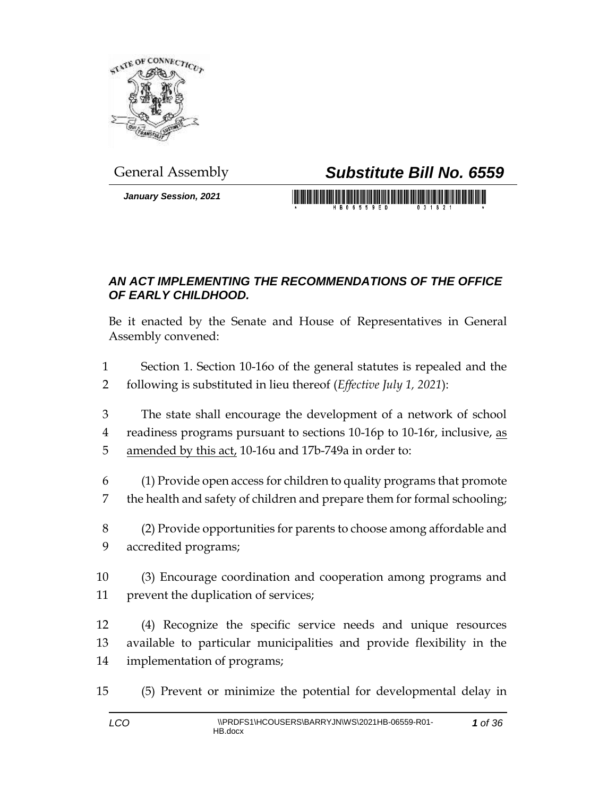

*January Session, 2021*

## General Assembly *Substitute Bill No. 6559*

<u> 1999 - Johann Maria Maria Maria Maria Maria Maria Maria Maria Maria Maria Maria Maria Maria Maria Maria Mari</u>

## *AN ACT IMPLEMENTING THE RECOMMENDATIONS OF THE OFFICE OF EARLY CHILDHOOD.*

Be it enacted by the Senate and House of Representatives in General Assembly convened:

 Section 1. Section 10-16o of the general statutes is repealed and the following is substituted in lieu thereof (*Effective July 1, 2021*):

 The state shall encourage the development of a network of school readiness programs pursuant to sections 10-16p to 10-16r, inclusive, as amended by this act, 10-16u and 17b-749a in order to:

 (1) Provide open access for children to quality programs that promote the health and safety of children and prepare them for formal schooling;

 (2) Provide opportunities for parents to choose among affordable and accredited programs;

 (3) Encourage coordination and cooperation among programs and prevent the duplication of services;

 (4) Recognize the specific service needs and unique resources available to particular municipalities and provide flexibility in the implementation of programs;

(5) Prevent or minimize the potential for developmental delay in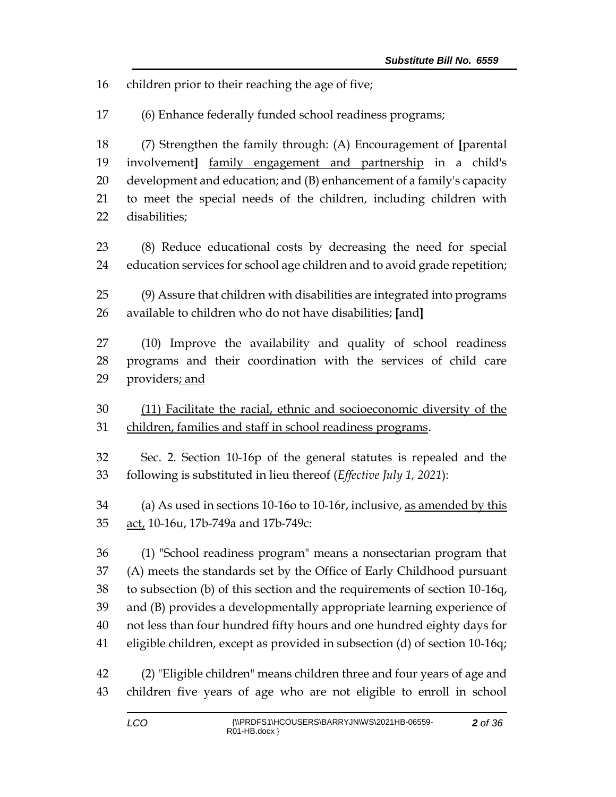children prior to their reaching the age of five;

(6) Enhance federally funded school readiness programs;

 (7) Strengthen the family through: (A) Encouragement of **[**parental involvement**]** family engagement and partnership in a child's development and education; and (B) enhancement of a family's capacity to meet the special needs of the children, including children with disabilities;

 (8) Reduce educational costs by decreasing the need for special education services for school age children and to avoid grade repetition;

 (9) Assure that children with disabilities are integrated into programs available to children who do not have disabilities; **[**and**]**

 (10) Improve the availability and quality of school readiness programs and their coordination with the services of child care 29 providers; and

 (11) Facilitate the racial, ethnic and socioeconomic diversity of the children, families and staff in school readiness programs.

 Sec. 2. Section 10-16p of the general statutes is repealed and the following is substituted in lieu thereof (*Effective July 1, 2021*):

 (a) As used in sections 10-16o to 10-16r, inclusive, as amended by this 35 act, 10-16u, 17b-749a and 17b-749c:

 (1) "School readiness program" means a nonsectarian program that (A) meets the standards set by the Office of Early Childhood pursuant to subsection (b) of this section and the requirements of section 10-16q, and (B) provides a developmentally appropriate learning experience of not less than four hundred fifty hours and one hundred eighty days for eligible children, except as provided in subsection (d) of section 10-16q;

 (2) "Eligible children" means children three and four years of age and children five years of age who are not eligible to enroll in school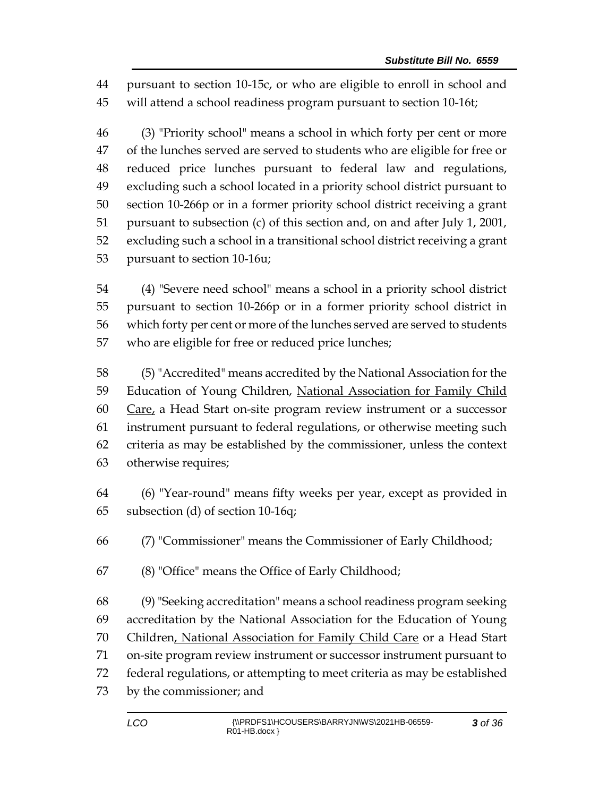pursuant to section 10-15c, or who are eligible to enroll in school and will attend a school readiness program pursuant to section 10-16t;

 (3) "Priority school" means a school in which forty per cent or more of the lunches served are served to students who are eligible for free or reduced price lunches pursuant to federal law and regulations, excluding such a school located in a priority school district pursuant to section 10-266p or in a former priority school district receiving a grant pursuant to subsection (c) of this section and, on and after July 1, 2001, excluding such a school in a transitional school district receiving a grant pursuant to section 10-16u;

 (4) "Severe need school" means a school in a priority school district pursuant to section 10-266p or in a former priority school district in which forty per cent or more of the lunches served are served to students who are eligible for free or reduced price lunches;

 (5) "Accredited" means accredited by the National Association for the 59 Education of Young Children, National Association for Family Child Care, a Head Start on-site program review instrument or a successor instrument pursuant to federal regulations, or otherwise meeting such criteria as may be established by the commissioner, unless the context otherwise requires;

 (6) "Year-round" means fifty weeks per year, except as provided in subsection (d) of section 10-16q;

(7) "Commissioner" means the Commissioner of Early Childhood;

(8) "Office" means the Office of Early Childhood;

 (9) "Seeking accreditation" means a school readiness program seeking accreditation by the National Association for the Education of Young Children, National Association for Family Child Care or a Head Start on-site program review instrument or successor instrument pursuant to federal regulations, or attempting to meet criteria as may be established by the commissioner; and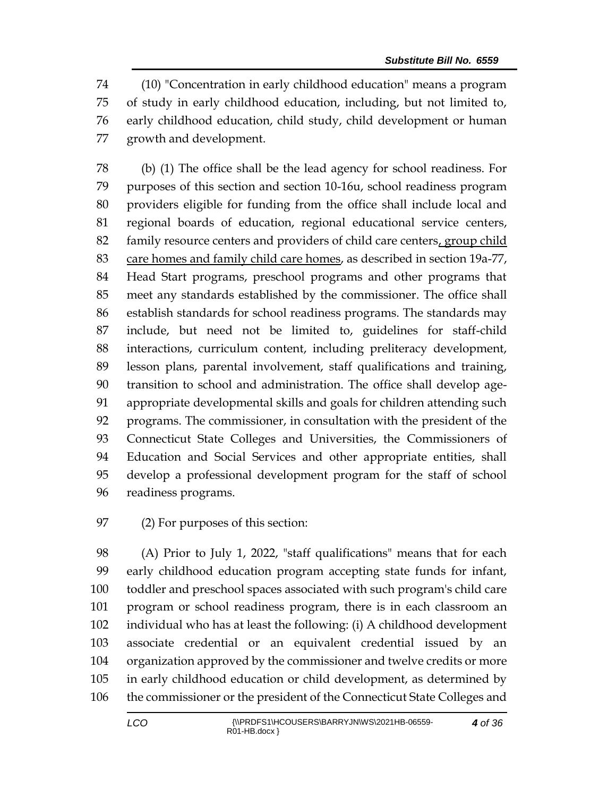(10) "Concentration in early childhood education" means a program of study in early childhood education, including, but not limited to, early childhood education, child study, child development or human growth and development.

 (b) (1) The office shall be the lead agency for school readiness. For purposes of this section and section 10-16u, school readiness program providers eligible for funding from the office shall include local and regional boards of education, regional educational service centers, family resource centers and providers of child care centers, group child 83 care homes and family child care homes, as described in section 19a-77, Head Start programs, preschool programs and other programs that meet any standards established by the commissioner. The office shall establish standards for school readiness programs. The standards may include, but need not be limited to, guidelines for staff-child interactions, curriculum content, including preliteracy development, lesson plans, parental involvement, staff qualifications and training, transition to school and administration. The office shall develop age- appropriate developmental skills and goals for children attending such programs. The commissioner, in consultation with the president of the Connecticut State Colleges and Universities, the Commissioners of Education and Social Services and other appropriate entities, shall develop a professional development program for the staff of school readiness programs.

(2) For purposes of this section:

 (A) Prior to July 1, 2022, "staff qualifications" means that for each early childhood education program accepting state funds for infant, toddler and preschool spaces associated with such program's child care program or school readiness program, there is in each classroom an individual who has at least the following: (i) A childhood development associate credential or an equivalent credential issued by an organization approved by the commissioner and twelve credits or more in early childhood education or child development, as determined by the commissioner or the president of the Connecticut State Colleges and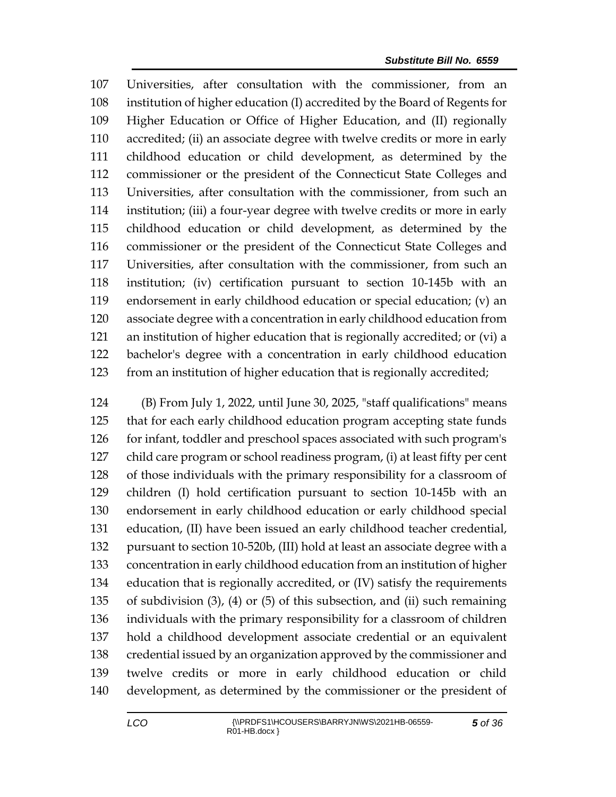Universities, after consultation with the commissioner, from an institution of higher education (I) accredited by the Board of Regents for Higher Education or Office of Higher Education, and (II) regionally accredited; (ii) an associate degree with twelve credits or more in early childhood education or child development, as determined by the commissioner or the president of the Connecticut State Colleges and Universities, after consultation with the commissioner, from such an institution; (iii) a four-year degree with twelve credits or more in early childhood education or child development, as determined by the commissioner or the president of the Connecticut State Colleges and Universities, after consultation with the commissioner, from such an institution; (iv) certification pursuant to section 10-145b with an endorsement in early childhood education or special education; (v) an associate degree with a concentration in early childhood education from an institution of higher education that is regionally accredited; or (vi) a bachelor's degree with a concentration in early childhood education from an institution of higher education that is regionally accredited;

 (B) From July 1, 2022, until June 30, 2025, "staff qualifications" means that for each early childhood education program accepting state funds 126 for infant, toddler and preschool spaces associated with such program's child care program or school readiness program, (i) at least fifty per cent of those individuals with the primary responsibility for a classroom of children (I) hold certification pursuant to section 10-145b with an endorsement in early childhood education or early childhood special education, (II) have been issued an early childhood teacher credential, pursuant to section 10-520b, (III) hold at least an associate degree with a concentration in early childhood education from an institution of higher education that is regionally accredited, or (IV) satisfy the requirements of subdivision (3), (4) or (5) of this subsection, and (ii) such remaining individuals with the primary responsibility for a classroom of children hold a childhood development associate credential or an equivalent credential issued by an organization approved by the commissioner and twelve credits or more in early childhood education or child development, as determined by the commissioner or the president of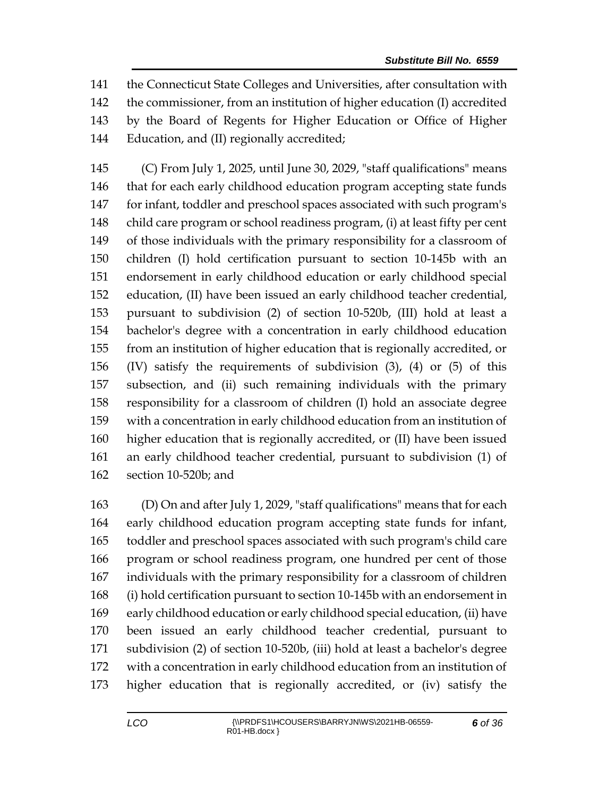the Connecticut State Colleges and Universities, after consultation with the commissioner, from an institution of higher education (I) accredited by the Board of Regents for Higher Education or Office of Higher Education, and (II) regionally accredited;

 (C) From July 1, 2025, until June 30, 2029, "staff qualifications" means that for each early childhood education program accepting state funds for infant, toddler and preschool spaces associated with such program's child care program or school readiness program, (i) at least fifty per cent of those individuals with the primary responsibility for a classroom of children (I) hold certification pursuant to section 10-145b with an endorsement in early childhood education or early childhood special education, (II) have been issued an early childhood teacher credential, pursuant to subdivision (2) of section 10-520b, (III) hold at least a bachelor's degree with a concentration in early childhood education from an institution of higher education that is regionally accredited, or (IV) satisfy the requirements of subdivision (3), (4) or (5) of this subsection, and (ii) such remaining individuals with the primary responsibility for a classroom of children (I) hold an associate degree with a concentration in early childhood education from an institution of higher education that is regionally accredited, or (II) have been issued an early childhood teacher credential, pursuant to subdivision (1) of section 10-520b; and

 (D) On and after July 1, 2029, "staff qualifications" means that for each early childhood education program accepting state funds for infant, toddler and preschool spaces associated with such program's child care program or school readiness program, one hundred per cent of those individuals with the primary responsibility for a classroom of children (i) hold certification pursuant to section 10-145b with an endorsement in early childhood education or early childhood special education, (ii) have been issued an early childhood teacher credential, pursuant to subdivision (2) of section 10-520b, (iii) hold at least a bachelor's degree with a concentration in early childhood education from an institution of higher education that is regionally accredited, or (iv) satisfy the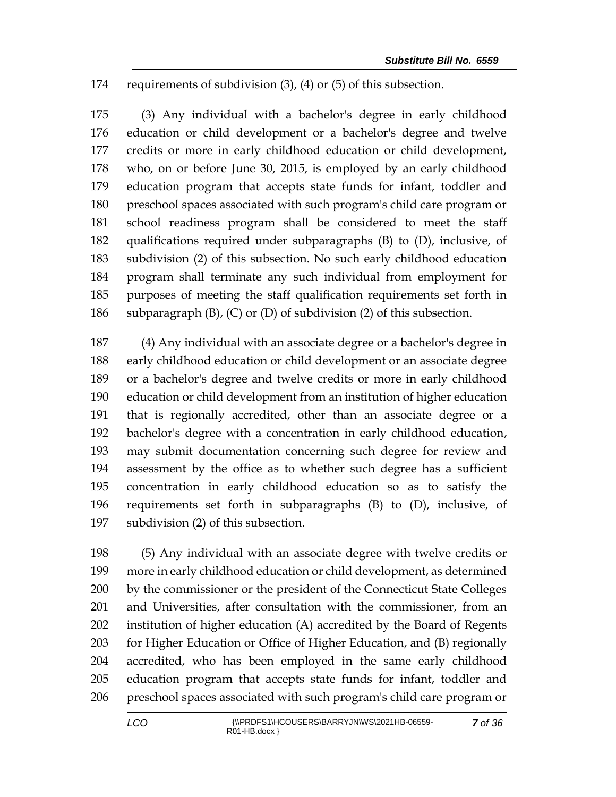requirements of subdivision (3), (4) or (5) of this subsection.

 (3) Any individual with a bachelor's degree in early childhood education or child development or a bachelor's degree and twelve credits or more in early childhood education or child development, who, on or before June 30, 2015, is employed by an early childhood education program that accepts state funds for infant, toddler and preschool spaces associated with such program's child care program or school readiness program shall be considered to meet the staff qualifications required under subparagraphs (B) to (D), inclusive, of subdivision (2) of this subsection. No such early childhood education program shall terminate any such individual from employment for purposes of meeting the staff qualification requirements set forth in subparagraph (B), (C) or (D) of subdivision (2) of this subsection.

 (4) Any individual with an associate degree or a bachelor's degree in early childhood education or child development or an associate degree or a bachelor's degree and twelve credits or more in early childhood education or child development from an institution of higher education that is regionally accredited, other than an associate degree or a bachelor's degree with a concentration in early childhood education, may submit documentation concerning such degree for review and assessment by the office as to whether such degree has a sufficient concentration in early childhood education so as to satisfy the requirements set forth in subparagraphs (B) to (D), inclusive, of subdivision (2) of this subsection.

 (5) Any individual with an associate degree with twelve credits or more in early childhood education or child development, as determined by the commissioner or the president of the Connecticut State Colleges and Universities, after consultation with the commissioner, from an institution of higher education (A) accredited by the Board of Regents for Higher Education or Office of Higher Education, and (B) regionally accredited, who has been employed in the same early childhood education program that accepts state funds for infant, toddler and preschool spaces associated with such program's child care program or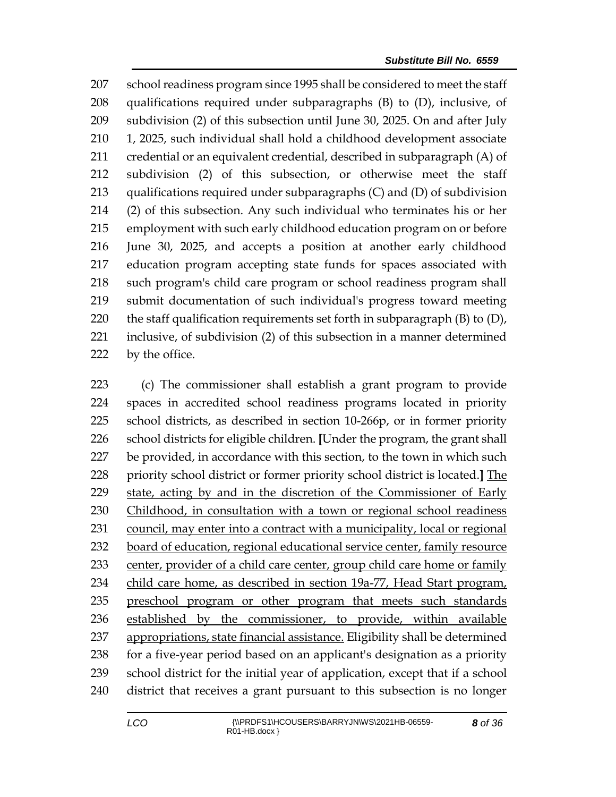school readiness program since 1995 shall be considered to meet the staff qualifications required under subparagraphs (B) to (D), inclusive, of subdivision (2) of this subsection until June 30, 2025. On and after July 1, 2025, such individual shall hold a childhood development associate credential or an equivalent credential, described in subparagraph (A) of subdivision (2) of this subsection, or otherwise meet the staff qualifications required under subparagraphs (C) and (D) of subdivision (2) of this subsection. Any such individual who terminates his or her employment with such early childhood education program on or before June 30, 2025, and accepts a position at another early childhood education program accepting state funds for spaces associated with such program's child care program or school readiness program shall submit documentation of such individual's progress toward meeting 220 the staff qualification requirements set forth in subparagraph  $(B)$  to  $(D)$ , inclusive, of subdivision (2) of this subsection in a manner determined 222 by the office.

 (c) The commissioner shall establish a grant program to provide spaces in accredited school readiness programs located in priority school districts, as described in section 10-266p, or in former priority school districts for eligible children. **[**Under the program, the grant shall be provided, in accordance with this section, to the town in which such priority school district or former priority school district is located.**]** The state, acting by and in the discretion of the Commissioner of Early Childhood, in consultation with a town or regional school readiness 231 council, may enter into a contract with a municipality, local or regional board of education, regional educational service center, family resource 233 center, provider of a child care center, group child care home or family 234 child care home, as described in section 19a-77, Head Start program, preschool program or other program that meets such standards established by the commissioner, to provide, within available appropriations, state financial assistance. Eligibility shall be determined for a five-year period based on an applicant's designation as a priority school district for the initial year of application, except that if a school district that receives a grant pursuant to this subsection is no longer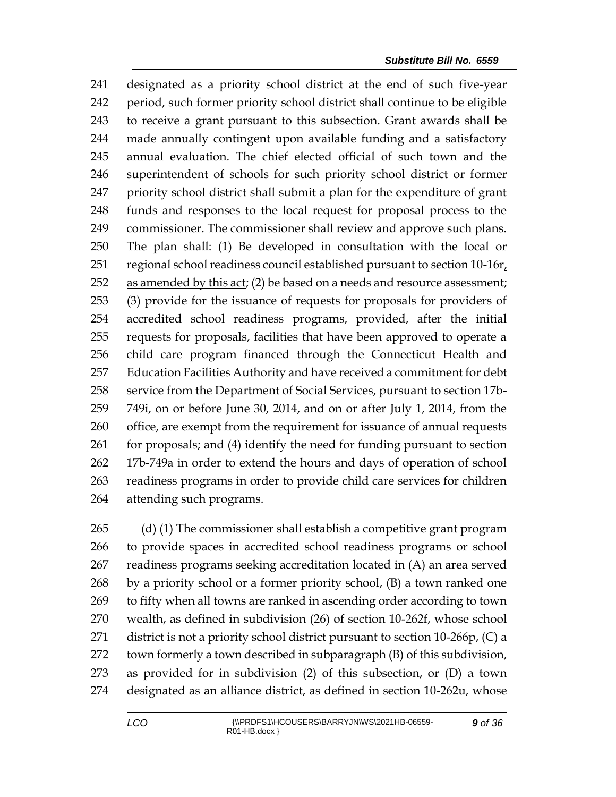designated as a priority school district at the end of such five-year period, such former priority school district shall continue to be eligible to receive a grant pursuant to this subsection. Grant awards shall be made annually contingent upon available funding and a satisfactory annual evaluation. The chief elected official of such town and the superintendent of schools for such priority school district or former priority school district shall submit a plan for the expenditure of grant funds and responses to the local request for proposal process to the commissioner. The commissioner shall review and approve such plans. The plan shall: (1) Be developed in consultation with the local or 251 regional school readiness council established pursuant to section  $10-16r<sub>t</sub>$  as amended by this act; (2) be based on a needs and resource assessment; (3) provide for the issuance of requests for proposals for providers of accredited school readiness programs, provided, after the initial requests for proposals, facilities that have been approved to operate a child care program financed through the Connecticut Health and Education Facilities Authority and have received a commitment for debt service from the Department of Social Services, pursuant to section 17b- 749i, on or before June 30, 2014, and on or after July 1, 2014, from the office, are exempt from the requirement for issuance of annual requests for proposals; and (4) identify the need for funding pursuant to section 17b-749a in order to extend the hours and days of operation of school readiness programs in order to provide child care services for children attending such programs.

 (d) (1) The commissioner shall establish a competitive grant program to provide spaces in accredited school readiness programs or school readiness programs seeking accreditation located in (A) an area served by a priority school or a former priority school, (B) a town ranked one to fifty when all towns are ranked in ascending order according to town wealth, as defined in subdivision (26) of section 10-262f, whose school 271 district is not a priority school district pursuant to section 10-266p, (C) a town formerly a town described in subparagraph (B) of this subdivision, as provided for in subdivision (2) of this subsection, or (D) a town designated as an alliance district, as defined in section 10-262u, whose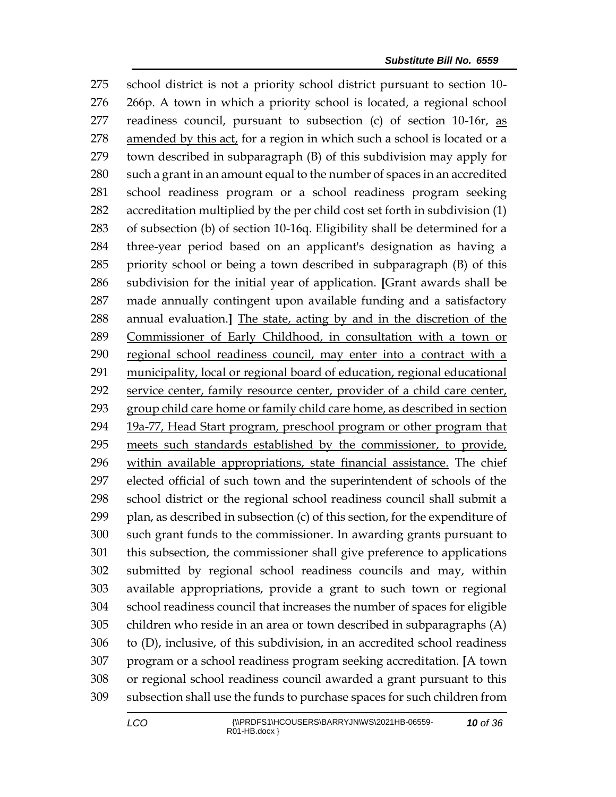school district is not a priority school district pursuant to section 10- 266p. A town in which a priority school is located, a regional school readiness council, pursuant to subsection (c) of section 10-16r, as amended by this act, for a region in which such a school is located or a town described in subparagraph (B) of this subdivision may apply for such a grant in an amount equal to the number of spaces in an accredited school readiness program or a school readiness program seeking accreditation multiplied by the per child cost set forth in subdivision (1) of subsection (b) of section 10-16q. Eligibility shall be determined for a three-year period based on an applicant's designation as having a priority school or being a town described in subparagraph (B) of this subdivision for the initial year of application. **[**Grant awards shall be made annually contingent upon available funding and a satisfactory annual evaluation.**]** The state, acting by and in the discretion of the Commissioner of Early Childhood, in consultation with a town or regional school readiness council, may enter into a contract with a municipality, local or regional board of education, regional educational service center, family resource center, provider of a child care center, group child care home or family child care home, as described in section 19a-77, Head Start program, preschool program or other program that meets such standards established by the commissioner, to provide, within available appropriations, state financial assistance. The chief elected official of such town and the superintendent of schools of the school district or the regional school readiness council shall submit a plan, as described in subsection (c) of this section, for the expenditure of such grant funds to the commissioner. In awarding grants pursuant to this subsection, the commissioner shall give preference to applications submitted by regional school readiness councils and may, within available appropriations, provide a grant to such town or regional school readiness council that increases the number of spaces for eligible children who reside in an area or town described in subparagraphs (A) to (D), inclusive, of this subdivision, in an accredited school readiness program or a school readiness program seeking accreditation. **[**A town or regional school readiness council awarded a grant pursuant to this subsection shall use the funds to purchase spaces for such children from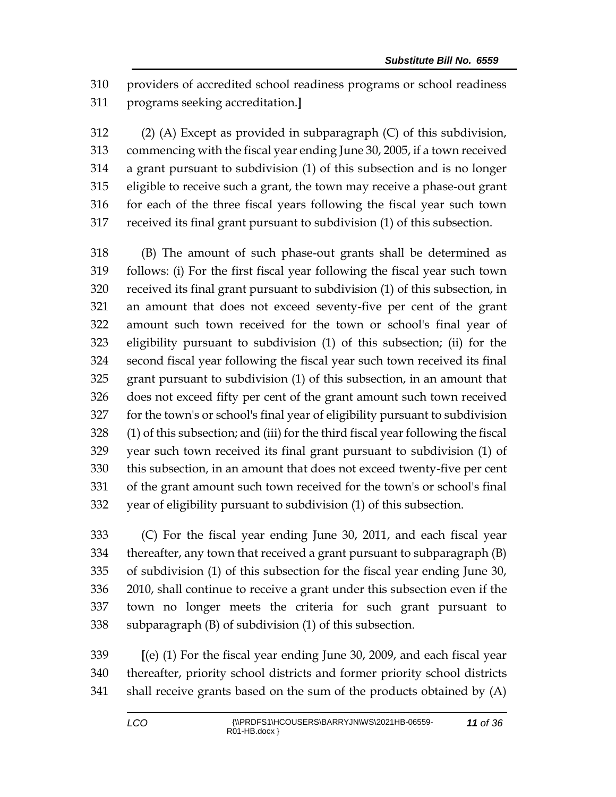providers of accredited school readiness programs or school readiness programs seeking accreditation.**]**

 (2) (A) Except as provided in subparagraph (C) of this subdivision, commencing with the fiscal year ending June 30, 2005, if a town received a grant pursuant to subdivision (1) of this subsection and is no longer eligible to receive such a grant, the town may receive a phase-out grant for each of the three fiscal years following the fiscal year such town received its final grant pursuant to subdivision (1) of this subsection.

 (B) The amount of such phase-out grants shall be determined as follows: (i) For the first fiscal year following the fiscal year such town received its final grant pursuant to subdivision (1) of this subsection, in an amount that does not exceed seventy-five per cent of the grant amount such town received for the town or school's final year of eligibility pursuant to subdivision (1) of this subsection; (ii) for the second fiscal year following the fiscal year such town received its final grant pursuant to subdivision (1) of this subsection, in an amount that does not exceed fifty per cent of the grant amount such town received for the town's or school's final year of eligibility pursuant to subdivision (1) of this subsection; and (iii) for the third fiscal year following the fiscal year such town received its final grant pursuant to subdivision (1) of this subsection, in an amount that does not exceed twenty-five per cent of the grant amount such town received for the town's or school's final year of eligibility pursuant to subdivision (1) of this subsection.

 (C) For the fiscal year ending June 30, 2011, and each fiscal year thereafter, any town that received a grant pursuant to subparagraph (B) of subdivision (1) of this subsection for the fiscal year ending June 30, 2010, shall continue to receive a grant under this subsection even if the town no longer meets the criteria for such grant pursuant to subparagraph (B) of subdivision (1) of this subsection.

 **[**(e) (1) For the fiscal year ending June 30, 2009, and each fiscal year thereafter, priority school districts and former priority school districts shall receive grants based on the sum of the products obtained by (A)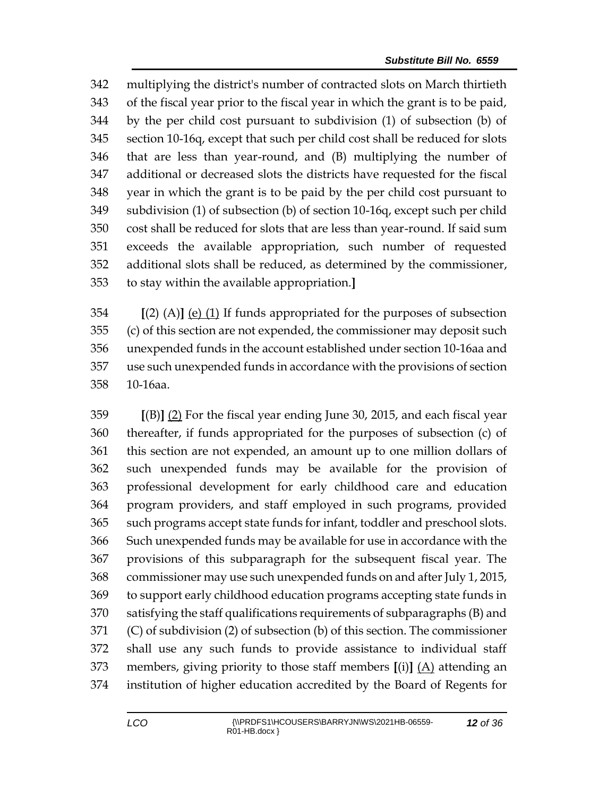multiplying the district's number of contracted slots on March thirtieth of the fiscal year prior to the fiscal year in which the grant is to be paid, by the per child cost pursuant to subdivision (1) of subsection (b) of section 10-16q, except that such per child cost shall be reduced for slots that are less than year-round, and (B) multiplying the number of additional or decreased slots the districts have requested for the fiscal year in which the grant is to be paid by the per child cost pursuant to subdivision (1) of subsection (b) of section 10-16q, except such per child cost shall be reduced for slots that are less than year-round. If said sum exceeds the available appropriation, such number of requested additional slots shall be reduced, as determined by the commissioner, to stay within the available appropriation.**]**

 **[**(2) (A)**]** (e) (1) If funds appropriated for the purposes of subsection (c) of this section are not expended, the commissioner may deposit such unexpended funds in the account established under section 10-16aa and use such unexpended funds in accordance with the provisions of section 10-16aa.

 **[**(B)**]** (2) For the fiscal year ending June 30, 2015, and each fiscal year thereafter, if funds appropriated for the purposes of subsection (c) of this section are not expended, an amount up to one million dollars of such unexpended funds may be available for the provision of professional development for early childhood care and education program providers, and staff employed in such programs, provided such programs accept state funds for infant, toddler and preschool slots. Such unexpended funds may be available for use in accordance with the provisions of this subparagraph for the subsequent fiscal year. The commissioner may use such unexpended funds on and after July 1, 2015, to support early childhood education programs accepting state funds in satisfying the staff qualifications requirements of subparagraphs (B) and (C) of subdivision (2) of subsection (b) of this section. The commissioner shall use any such funds to provide assistance to individual staff members, giving priority to those staff members **[**(i)**]** (A) attending an institution of higher education accredited by the Board of Regents for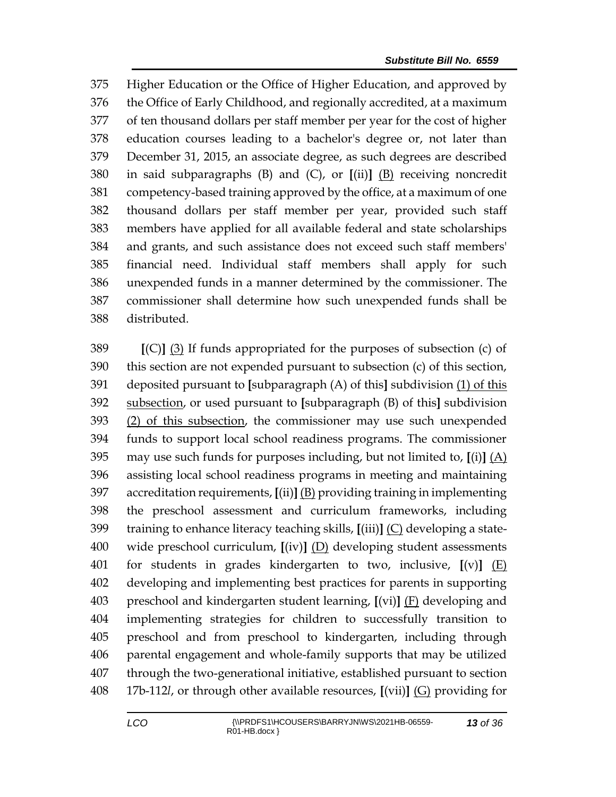Higher Education or the Office of Higher Education, and approved by the Office of Early Childhood, and regionally accredited, at a maximum of ten thousand dollars per staff member per year for the cost of higher education courses leading to a bachelor's degree or, not later than December 31, 2015, an associate degree, as such degrees are described in said subparagraphs (B) and (C), or **[**(ii)**]** (B) receiving noncredit competency-based training approved by the office, at a maximum of one thousand dollars per staff member per year, provided such staff members have applied for all available federal and state scholarships and grants, and such assistance does not exceed such staff members' financial need. Individual staff members shall apply for such unexpended funds in a manner determined by the commissioner. The commissioner shall determine how such unexpended funds shall be distributed.

 **[**(C)**]** (3) If funds appropriated for the purposes of subsection (c) of this section are not expended pursuant to subsection (c) of this section, deposited pursuant to **[**subparagraph (A) of this**]** subdivision (1) of this subsection, or used pursuant to **[**subparagraph (B) of this**]** subdivision (2) of this subsection, the commissioner may use such unexpended funds to support local school readiness programs. The commissioner may use such funds for purposes including, but not limited to, **[**(i)**]** (A) assisting local school readiness programs in meeting and maintaining accreditation requirements, **[**(ii)**]** (B) providing training in implementing the preschool assessment and curriculum frameworks, including training to enhance literacy teaching skills, **[**(iii)**]** (C) developing a state- wide preschool curriculum, **[**(iv)**]** (D) developing student assessments for students in grades kindergarten to two, inclusive, **[**(v)**]** (E) developing and implementing best practices for parents in supporting preschool and kindergarten student learning, **[**(vi)**]** (F) developing and implementing strategies for children to successfully transition to preschool and from preschool to kindergarten, including through parental engagement and whole-family supports that may be utilized through the two-generational initiative, established pursuant to section 17b-112*l*, or through other available resources, **[**(vii)**]** (G) providing for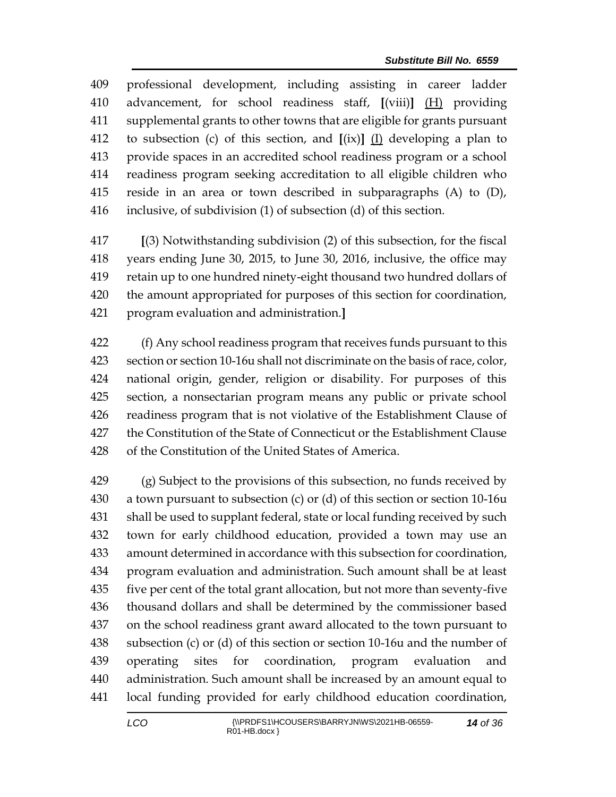professional development, including assisting in career ladder advancement, for school readiness staff, **[**(viii)**]** (H) providing supplemental grants to other towns that are eligible for grants pursuant to subsection (c) of this section, and **[**(ix)**]** (I) developing a plan to provide spaces in an accredited school readiness program or a school readiness program seeking accreditation to all eligible children who reside in an area or town described in subparagraphs (A) to (D), inclusive, of subdivision (1) of subsection (d) of this section.

 **[**(3) Notwithstanding subdivision (2) of this subsection, for the fiscal years ending June 30, 2015, to June 30, 2016, inclusive, the office may retain up to one hundred ninety-eight thousand two hundred dollars of the amount appropriated for purposes of this section for coordination, program evaluation and administration.**]**

 (f) Any school readiness program that receives funds pursuant to this section or section 10-16u shall not discriminate on the basis of race, color, national origin, gender, religion or disability. For purposes of this section, a nonsectarian program means any public or private school readiness program that is not violative of the Establishment Clause of the Constitution of the State of Connecticut or the Establishment Clause of the Constitution of the United States of America.

 (g) Subject to the provisions of this subsection, no funds received by a town pursuant to subsection (c) or (d) of this section or section 10-16u shall be used to supplant federal, state or local funding received by such town for early childhood education, provided a town may use an amount determined in accordance with this subsection for coordination, program evaluation and administration. Such amount shall be at least five per cent of the total grant allocation, but not more than seventy-five thousand dollars and shall be determined by the commissioner based on the school readiness grant award allocated to the town pursuant to subsection (c) or (d) of this section or section 10-16u and the number of operating sites for coordination, program evaluation and administration. Such amount shall be increased by an amount equal to local funding provided for early childhood education coordination,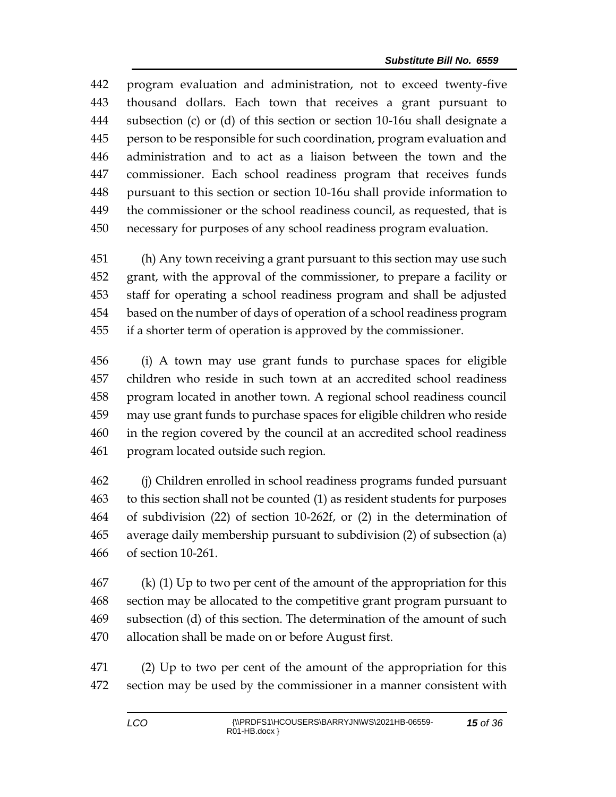program evaluation and administration, not to exceed twenty-five thousand dollars. Each town that receives a grant pursuant to subsection (c) or (d) of this section or section 10-16u shall designate a person to be responsible for such coordination, program evaluation and administration and to act as a liaison between the town and the commissioner. Each school readiness program that receives funds pursuant to this section or section 10-16u shall provide information to the commissioner or the school readiness council, as requested, that is necessary for purposes of any school readiness program evaluation.

 (h) Any town receiving a grant pursuant to this section may use such grant, with the approval of the commissioner, to prepare a facility or staff for operating a school readiness program and shall be adjusted based on the number of days of operation of a school readiness program if a shorter term of operation is approved by the commissioner.

 (i) A town may use grant funds to purchase spaces for eligible children who reside in such town at an accredited school readiness program located in another town. A regional school readiness council may use grant funds to purchase spaces for eligible children who reside in the region covered by the council at an accredited school readiness program located outside such region.

 (j) Children enrolled in school readiness programs funded pursuant to this section shall not be counted (1) as resident students for purposes of subdivision (22) of section 10-262f, or (2) in the determination of average daily membership pursuant to subdivision (2) of subsection (a) of section 10-261.

 (k) (1) Up to two per cent of the amount of the appropriation for this section may be allocated to the competitive grant program pursuant to subsection (d) of this section. The determination of the amount of such allocation shall be made on or before August first.

 (2) Up to two per cent of the amount of the appropriation for this section may be used by the commissioner in a manner consistent with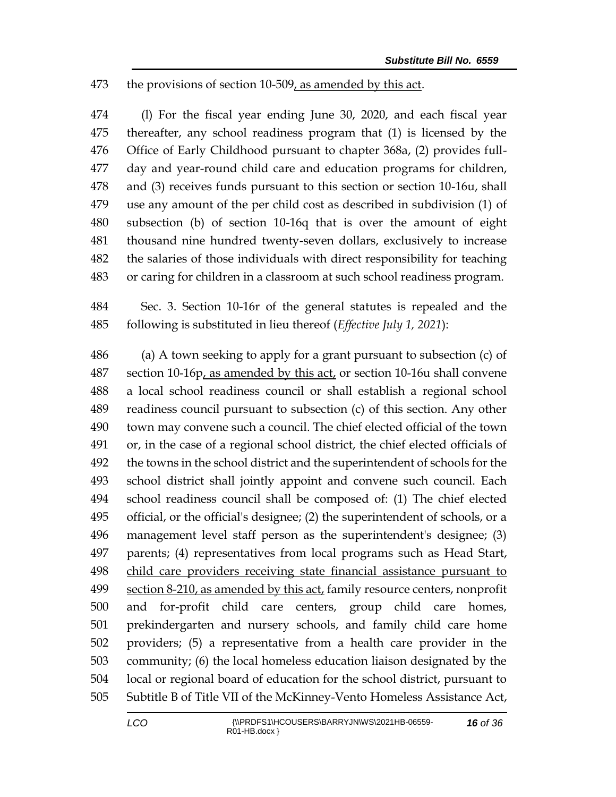## the provisions of section 10-509, as amended by this act.

 (l) For the fiscal year ending June 30, 2020, and each fiscal year thereafter, any school readiness program that (1) is licensed by the Office of Early Childhood pursuant to chapter 368a, (2) provides full- day and year-round child care and education programs for children, and (3) receives funds pursuant to this section or section 10-16u, shall use any amount of the per child cost as described in subdivision (1) of subsection (b) of section 10-16q that is over the amount of eight thousand nine hundred twenty-seven dollars, exclusively to increase the salaries of those individuals with direct responsibility for teaching or caring for children in a classroom at such school readiness program.

 Sec. 3. Section 10-16r of the general statutes is repealed and the following is substituted in lieu thereof (*Effective July 1, 2021*):

 (a) A town seeking to apply for a grant pursuant to subsection (c) of section 10-16p, as amended by this act, or section 10-16u shall convene a local school readiness council or shall establish a regional school readiness council pursuant to subsection (c) of this section. Any other town may convene such a council. The chief elected official of the town or, in the case of a regional school district, the chief elected officials of the towns in the school district and the superintendent of schools for the school district shall jointly appoint and convene such council. Each school readiness council shall be composed of: (1) The chief elected official, or the official's designee; (2) the superintendent of schools, or a management level staff person as the superintendent's designee; (3) parents; (4) representatives from local programs such as Head Start, child care providers receiving state financial assistance pursuant to section 8-210, as amended by this act, family resource centers, nonprofit and for-profit child care centers, group child care homes, prekindergarten and nursery schools, and family child care home providers; (5) a representative from a health care provider in the community; (6) the local homeless education liaison designated by the local or regional board of education for the school district, pursuant to Subtitle B of Title VII of the McKinney-Vento Homeless Assistance Act,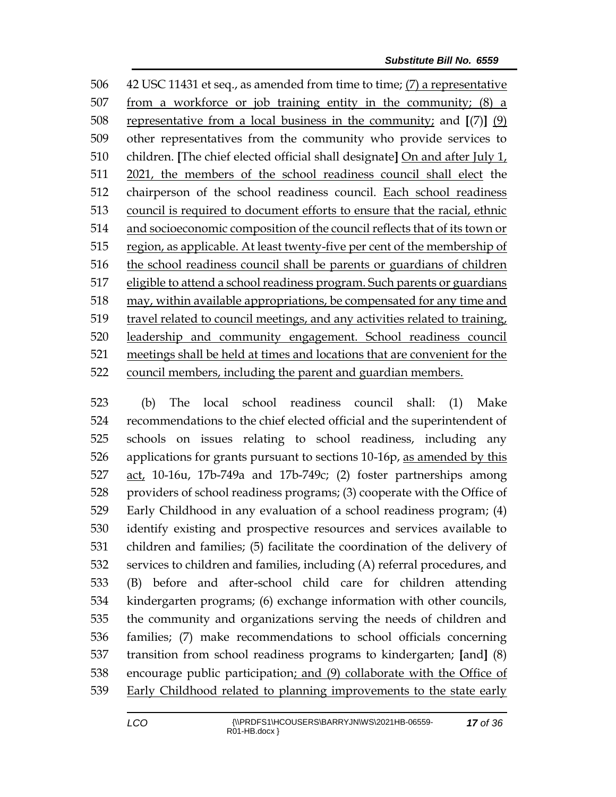42 USC 11431 et seq., as amended from time to time; (7) a representative 507 from a workforce or job training entity in the community;  $(8)$  a representative from a local business in the community; and **[**(7)**]** (9) other representatives from the community who provide services to children. **[**The chief elected official shall designate**]** On and after July 1, 2021, the members of the school readiness council shall elect the chairperson of the school readiness council. Each school readiness council is required to document efforts to ensure that the racial, ethnic and socioeconomic composition of the council reflects that of its town or region, as applicable. At least twenty-five per cent of the membership of the school readiness council shall be parents or guardians of children eligible to attend a school readiness program. Such parents or guardians may, within available appropriations, be compensated for any time and travel related to council meetings, and any activities related to training, leadership and community engagement. School readiness council meetings shall be held at times and locations that are convenient for the council members, including the parent and guardian members.

 (b) The local school readiness council shall: (1) Make recommendations to the chief elected official and the superintendent of schools on issues relating to school readiness, including any applications for grants pursuant to sections 10-16p, as amended by this act, 10-16u, 17b-749a and 17b-749c; (2) foster partnerships among providers of school readiness programs; (3) cooperate with the Office of Early Childhood in any evaluation of a school readiness program; (4) identify existing and prospective resources and services available to children and families; (5) facilitate the coordination of the delivery of services to children and families, including (A) referral procedures, and (B) before and after-school child care for children attending kindergarten programs; (6) exchange information with other councils, the community and organizations serving the needs of children and families; (7) make recommendations to school officials concerning transition from school readiness programs to kindergarten; **[**and**]** (8) encourage public participation; and (9) collaborate with the Office of Early Childhood related to planning improvements to the state early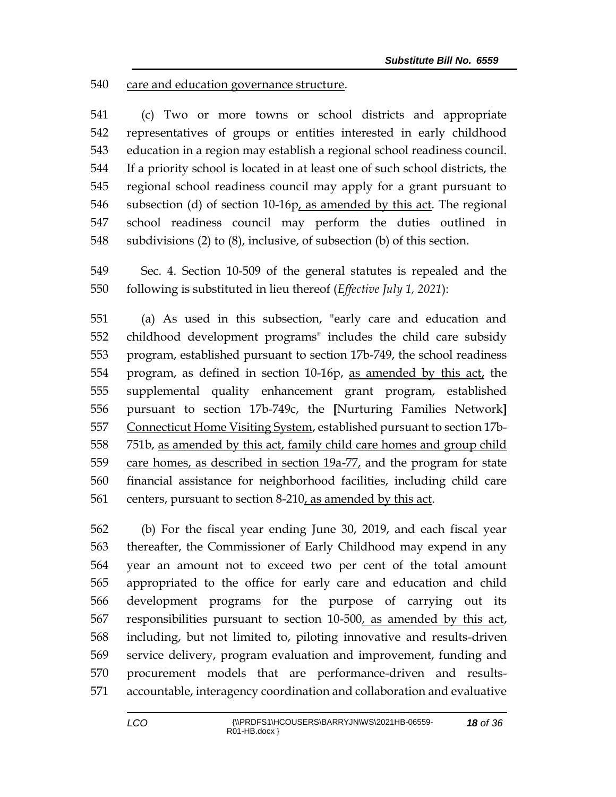care and education governance structure.

 (c) Two or more towns or school districts and appropriate representatives of groups or entities interested in early childhood education in a region may establish a regional school readiness council. If a priority school is located in at least one of such school districts, the regional school readiness council may apply for a grant pursuant to subsection (d) of section 10-16p, as amended by this act. The regional school readiness council may perform the duties outlined in subdivisions (2) to (8), inclusive, of subsection (b) of this section.

 Sec. 4. Section 10-509 of the general statutes is repealed and the following is substituted in lieu thereof (*Effective July 1, 2021*):

 (a) As used in this subsection, "early care and education and childhood development programs" includes the child care subsidy program, established pursuant to section 17b-749, the school readiness program, as defined in section 10-16p, as amended by this act, the supplemental quality enhancement grant program, established pursuant to section 17b-749c, the **[**Nurturing Families Network**]** Connecticut Home Visiting System, established pursuant to section 17b- 751b, as amended by this act, family child care homes and group child 559 care homes, as described in section 19a-77, and the program for state financial assistance for neighborhood facilities, including child care centers, pursuant to section 8-210, as amended by this act.

 (b) For the fiscal year ending June 30, 2019, and each fiscal year thereafter, the Commissioner of Early Childhood may expend in any year an amount not to exceed two per cent of the total amount appropriated to the office for early care and education and child development programs for the purpose of carrying out its 567 responsibilities pursuant to section 10-500, as amended by this act, including, but not limited to, piloting innovative and results-driven service delivery, program evaluation and improvement, funding and procurement models that are performance-driven and results-accountable, interagency coordination and collaboration and evaluative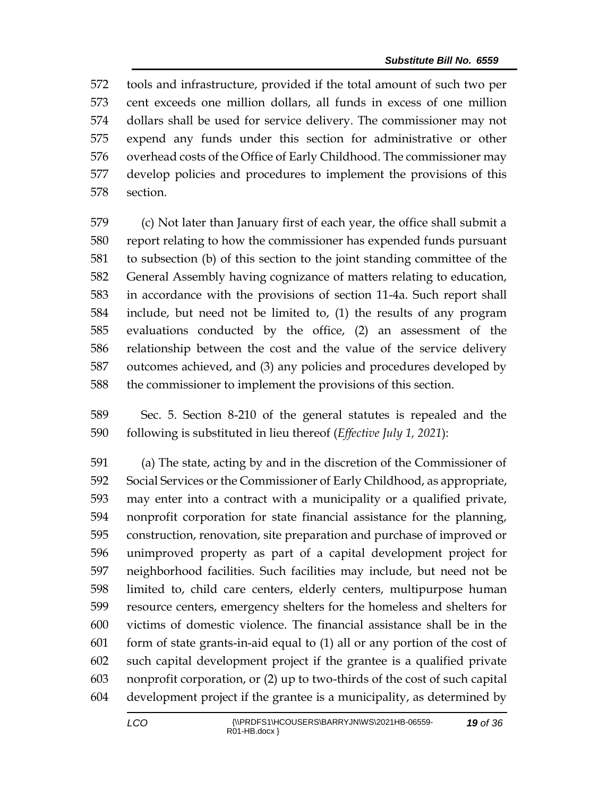tools and infrastructure, provided if the total amount of such two per cent exceeds one million dollars, all funds in excess of one million dollars shall be used for service delivery. The commissioner may not expend any funds under this section for administrative or other overhead costs of the Office of Early Childhood. The commissioner may develop policies and procedures to implement the provisions of this section.

 (c) Not later than January first of each year, the office shall submit a report relating to how the commissioner has expended funds pursuant to subsection (b) of this section to the joint standing committee of the General Assembly having cognizance of matters relating to education, in accordance with the provisions of section 11-4a. Such report shall include, but need not be limited to, (1) the results of any program evaluations conducted by the office, (2) an assessment of the relationship between the cost and the value of the service delivery outcomes achieved, and (3) any policies and procedures developed by the commissioner to implement the provisions of this section.

 Sec. 5. Section 8-210 of the general statutes is repealed and the following is substituted in lieu thereof (*Effective July 1, 2021*):

 (a) The state, acting by and in the discretion of the Commissioner of Social Services or the Commissioner of Early Childhood, as appropriate, may enter into a contract with a municipality or a qualified private, nonprofit corporation for state financial assistance for the planning, construction, renovation, site preparation and purchase of improved or unimproved property as part of a capital development project for neighborhood facilities. Such facilities may include, but need not be limited to, child care centers, elderly centers, multipurpose human resource centers, emergency shelters for the homeless and shelters for victims of domestic violence. The financial assistance shall be in the form of state grants-in-aid equal to (1) all or any portion of the cost of such capital development project if the grantee is a qualified private nonprofit corporation, or (2) up to two-thirds of the cost of such capital development project if the grantee is a municipality, as determined by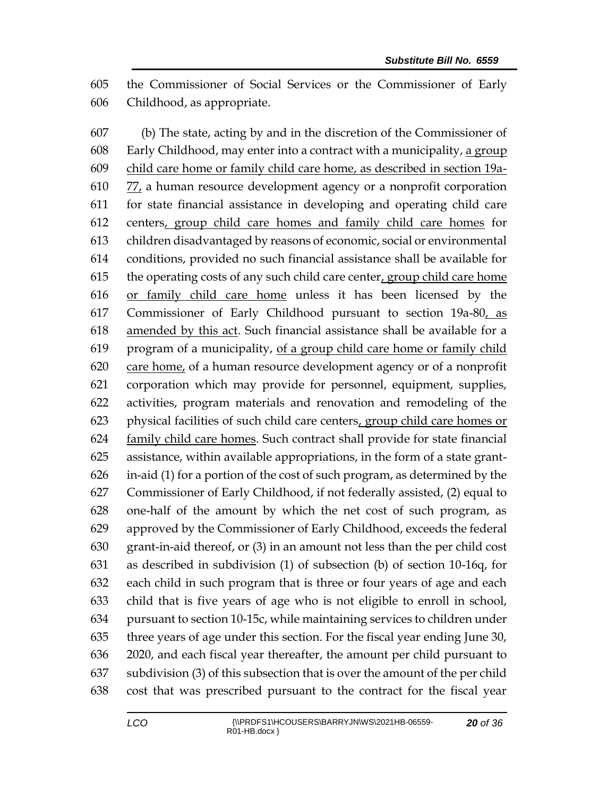the Commissioner of Social Services or the Commissioner of Early Childhood, as appropriate.

 (b) The state, acting by and in the discretion of the Commissioner of Early Childhood, may enter into a contract with a municipality, a group child care home or family child care home, as described in section 19a- 77, a human resource development agency or a nonprofit corporation for state financial assistance in developing and operating child care centers, group child care homes and family child care homes for children disadvantaged by reasons of economic, social or environmental conditions, provided no such financial assistance shall be available for the operating costs of any such child care center, group child care home or family child care home unless it has been licensed by the Commissioner of Early Childhood pursuant to section 19a-80, as amended by this act. Such financial assistance shall be available for a program of a municipality, of a group child care home or family child care home, of a human resource development agency or of a nonprofit corporation which may provide for personnel, equipment, supplies, activities, program materials and renovation and remodeling of the physical facilities of such child care centers, group child care homes or 624 family child care homes. Such contract shall provide for state financial assistance, within available appropriations, in the form of a state grant- in-aid (1) for a portion of the cost of such program, as determined by the Commissioner of Early Childhood, if not federally assisted, (2) equal to one-half of the amount by which the net cost of such program, as approved by the Commissioner of Early Childhood, exceeds the federal grant-in-aid thereof, or (3) in an amount not less than the per child cost as described in subdivision (1) of subsection (b) of section 10-16q, for each child in such program that is three or four years of age and each child that is five years of age who is not eligible to enroll in school, pursuant to section 10-15c, while maintaining services to children under three years of age under this section. For the fiscal year ending June 30, 2020, and each fiscal year thereafter, the amount per child pursuant to subdivision (3) of this subsection that is over the amount of the per child cost that was prescribed pursuant to the contract for the fiscal year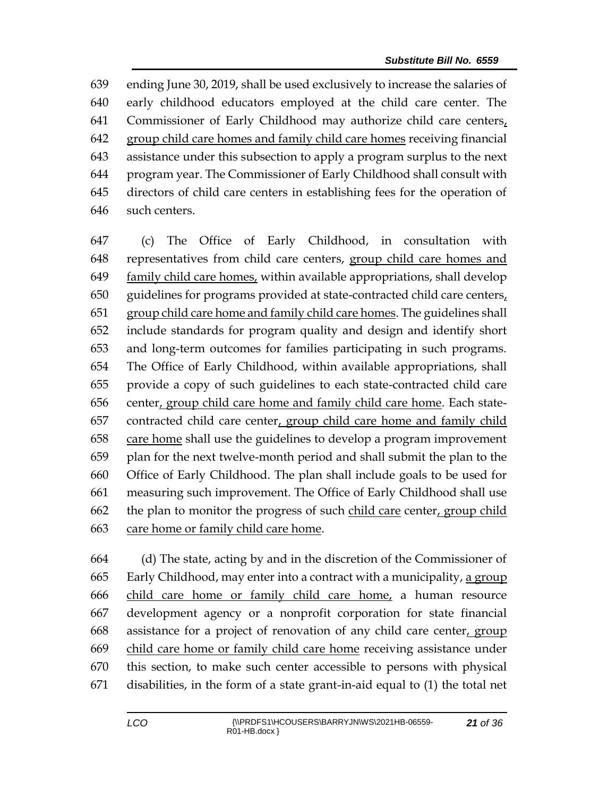ending June 30, 2019, shall be used exclusively to increase the salaries of early childhood educators employed at the child care center. The Commissioner of Early Childhood may authorize child care centers, 642 group child care homes and family child care homes receiving financial assistance under this subsection to apply a program surplus to the next program year. The Commissioner of Early Childhood shall consult with directors of child care centers in establishing fees for the operation of such centers.

 (c) The Office of Early Childhood, in consultation with representatives from child care centers, group child care homes and family child care homes, within available appropriations, shall develop guidelines for programs provided at state-contracted child care centers, group child care home and family child care homes. The guidelines shall include standards for program quality and design and identify short and long-term outcomes for families participating in such programs. The Office of Early Childhood, within available appropriations, shall provide a copy of such guidelines to each state-contracted child care center, group child care home and family child care home. Each state- contracted child care center, group child care home and family child care home shall use the guidelines to develop a program improvement plan for the next twelve-month period and shall submit the plan to the Office of Early Childhood. The plan shall include goals to be used for measuring such improvement. The Office of Early Childhood shall use the plan to monitor the progress of such child care center, group child care home or family child care home.

 (d) The state, acting by and in the discretion of the Commissioner of Early Childhood, may enter into a contract with a municipality, a group child care home or family child care home, a human resource development agency or a nonprofit corporation for state financial assistance for a project of renovation of any child care center, group child care home or family child care home receiving assistance under this section, to make such center accessible to persons with physical disabilities, in the form of a state grant-in-aid equal to (1) the total net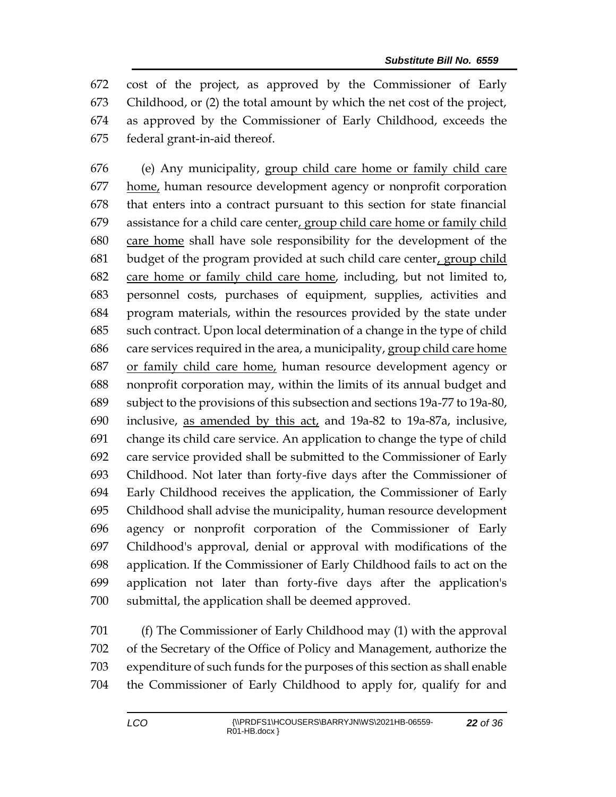cost of the project, as approved by the Commissioner of Early Childhood, or (2) the total amount by which the net cost of the project, as approved by the Commissioner of Early Childhood, exceeds the federal grant-in-aid thereof.

 (e) Any municipality, group child care home or family child care 677 home, human resource development agency or nonprofit corporation that enters into a contract pursuant to this section for state financial assistance for a child care center, group child care home or family child care home shall have sole responsibility for the development of the budget of the program provided at such child care center, group child care home or family child care home, including, but not limited to, personnel costs, purchases of equipment, supplies, activities and program materials, within the resources provided by the state under such contract. Upon local determination of a change in the type of child care services required in the area, a municipality, group child care home or family child care home, human resource development agency or nonprofit corporation may, within the limits of its annual budget and subject to the provisions of this subsection and sections 19a-77 to 19a-80, inclusive, as amended by this act, and 19a-82 to 19a-87a, inclusive, change its child care service. An application to change the type of child care service provided shall be submitted to the Commissioner of Early Childhood. Not later than forty-five days after the Commissioner of Early Childhood receives the application, the Commissioner of Early Childhood shall advise the municipality, human resource development agency or nonprofit corporation of the Commissioner of Early Childhood's approval, denial or approval with modifications of the application. If the Commissioner of Early Childhood fails to act on the application not later than forty-five days after the application's submittal, the application shall be deemed approved.

 (f) The Commissioner of Early Childhood may (1) with the approval of the Secretary of the Office of Policy and Management, authorize the expenditure of such funds for the purposes of this section as shall enable the Commissioner of Early Childhood to apply for, qualify for and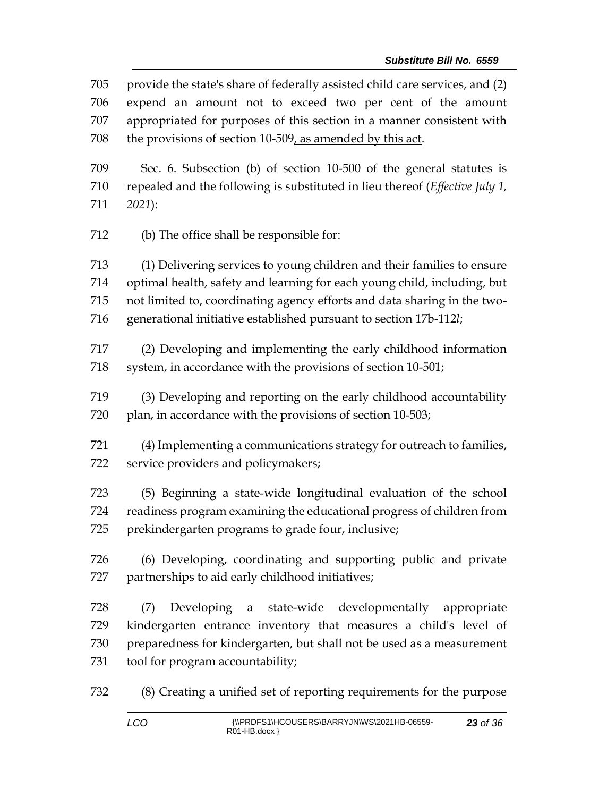provide the state's share of federally assisted child care services, and (2) expend an amount not to exceed two per cent of the amount appropriated for purposes of this section in a manner consistent with the provisions of section 10-509, as amended by this act. Sec. 6. Subsection (b) of section 10-500 of the general statutes is repealed and the following is substituted in lieu thereof (*Effective July 1, 2021*): (b) The office shall be responsible for: (1) Delivering services to young children and their families to ensure optimal health, safety and learning for each young child, including, but not limited to, coordinating agency efforts and data sharing in the two- generational initiative established pursuant to section 17b-112*l*; (2) Developing and implementing the early childhood information 718 system, in accordance with the provisions of section 10-501; (3) Developing and reporting on the early childhood accountability 720 plan, in accordance with the provisions of section 10-503; (4) Implementing a communications strategy for outreach to families, service providers and policymakers; (5) Beginning a state-wide longitudinal evaluation of the school readiness program examining the educational progress of children from prekindergarten programs to grade four, inclusive; (6) Developing, coordinating and supporting public and private partnerships to aid early childhood initiatives; (7) Developing a state-wide developmentally appropriate kindergarten entrance inventory that measures a child's level of preparedness for kindergarten, but shall not be used as a measurement tool for program accountability;

(8) Creating a unified set of reporting requirements for the purpose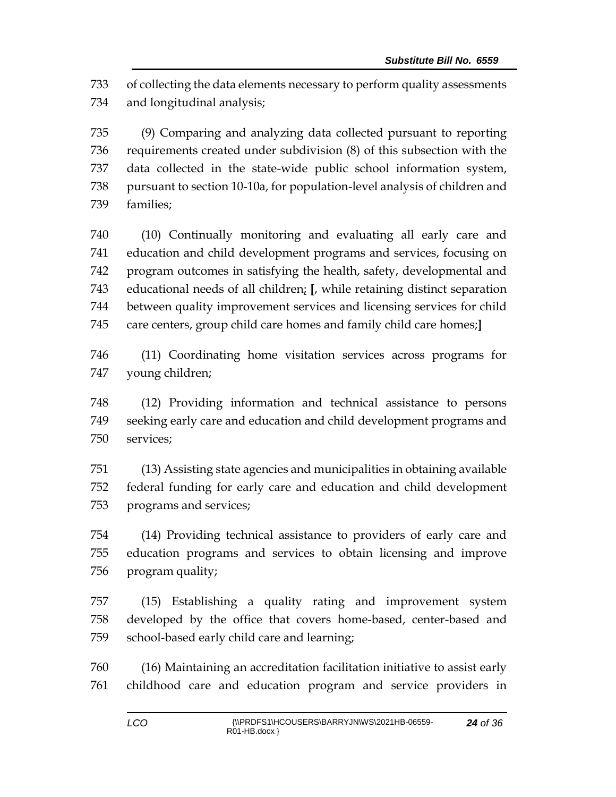of collecting the data elements necessary to perform quality assessments and longitudinal analysis;

 (9) Comparing and analyzing data collected pursuant to reporting requirements created under subdivision (8) of this subsection with the data collected in the state-wide public school information system, pursuant to section 10-10a, for population-level analysis of children and families;

 (10) Continually monitoring and evaluating all early care and education and child development programs and services, focusing on program outcomes in satisfying the health, safety, developmental and educational needs of all children; **[**, while retaining distinct separation between quality improvement services and licensing services for child care centers, group child care homes and family child care homes;**]**

 (11) Coordinating home visitation services across programs for young children;

 (12) Providing information and technical assistance to persons seeking early care and education and child development programs and services;

 (13) Assisting state agencies and municipalities in obtaining available federal funding for early care and education and child development programs and services;

 (14) Providing technical assistance to providers of early care and education programs and services to obtain licensing and improve program quality;

 (15) Establishing a quality rating and improvement system developed by the office that covers home-based, center-based and school-based early child care and learning;

 (16) Maintaining an accreditation facilitation initiative to assist early childhood care and education program and service providers in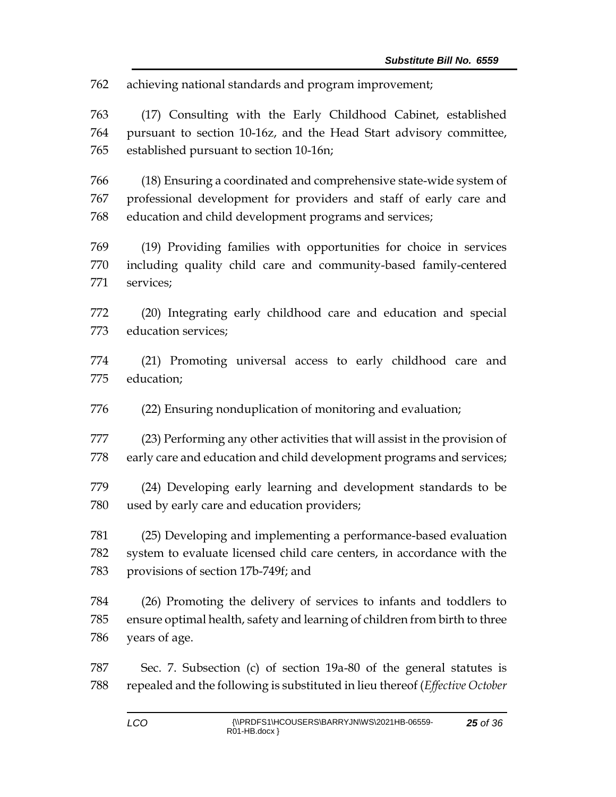achieving national standards and program improvement;

 (17) Consulting with the Early Childhood Cabinet, established pursuant to section 10-16z, and the Head Start advisory committee, established pursuant to section 10-16n;

 (18) Ensuring a coordinated and comprehensive state-wide system of professional development for providers and staff of early care and education and child development programs and services;

 (19) Providing families with opportunities for choice in services including quality child care and community-based family-centered services;

 (20) Integrating early childhood care and education and special education services;

 (21) Promoting universal access to early childhood care and education;

(22) Ensuring nonduplication of monitoring and evaluation;

 (23) Performing any other activities that will assist in the provision of early care and education and child development programs and services;

 (24) Developing early learning and development standards to be used by early care and education providers;

 (25) Developing and implementing a performance-based evaluation system to evaluate licensed child care centers, in accordance with the provisions of section 17b-749f; and

 (26) Promoting the delivery of services to infants and toddlers to ensure optimal health, safety and learning of children from birth to three years of age.

 Sec. 7. Subsection (c) of section 19a-80 of the general statutes is repealed and the following is substituted in lieu thereof (*Effective October*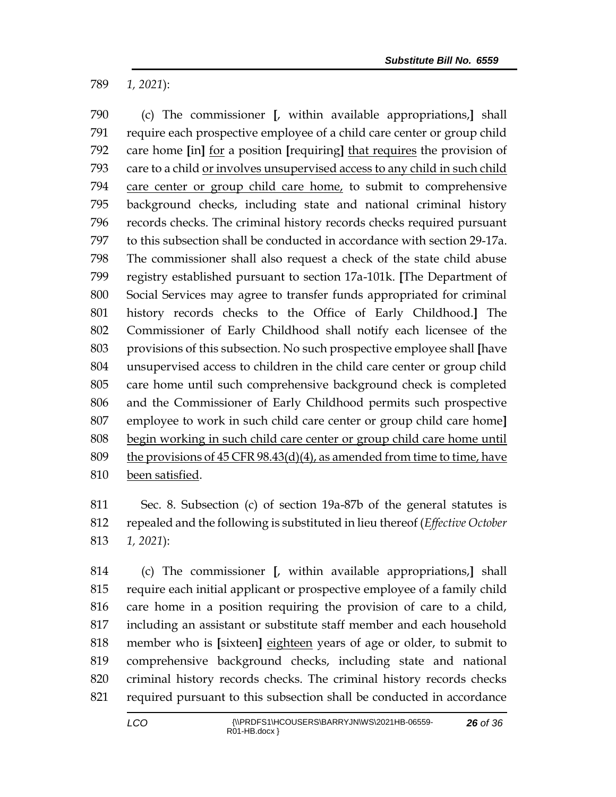*1, 2021*):

 (c) The commissioner **[**, within available appropriations,**]** shall require each prospective employee of a child care center or group child care home **[**in**]** for a position **[**requiring**]** that requires the provision of 793 care to a child or involves unsupervised access to any child in such child care center or group child care home, to submit to comprehensive background checks, including state and national criminal history records checks. The criminal history records checks required pursuant to this subsection shall be conducted in accordance with section 29-17a. The commissioner shall also request a check of the state child abuse registry established pursuant to section 17a-101k. **[**The Department of Social Services may agree to transfer funds appropriated for criminal history records checks to the Office of Early Childhood.**]** The Commissioner of Early Childhood shall notify each licensee of the provisions of this subsection. No such prospective employee shall **[**have unsupervised access to children in the child care center or group child care home until such comprehensive background check is completed and the Commissioner of Early Childhood permits such prospective employee to work in such child care center or group child care home**]** begin working in such child care center or group child care home until 809 the provisions of CFR  $98.43(d)(4)$ , as amended from time to time, have been satisfied.

 Sec. 8. Subsection (c) of section 19a-87b of the general statutes is repealed and the following is substituted in lieu thereof (*Effective October 1, 2021*):

 (c) The commissioner **[**, within available appropriations,**]** shall require each initial applicant or prospective employee of a family child care home in a position requiring the provision of care to a child, including an assistant or substitute staff member and each household member who is **[**sixteen**]** eighteen years of age or older, to submit to comprehensive background checks, including state and national criminal history records checks. The criminal history records checks required pursuant to this subsection shall be conducted in accordance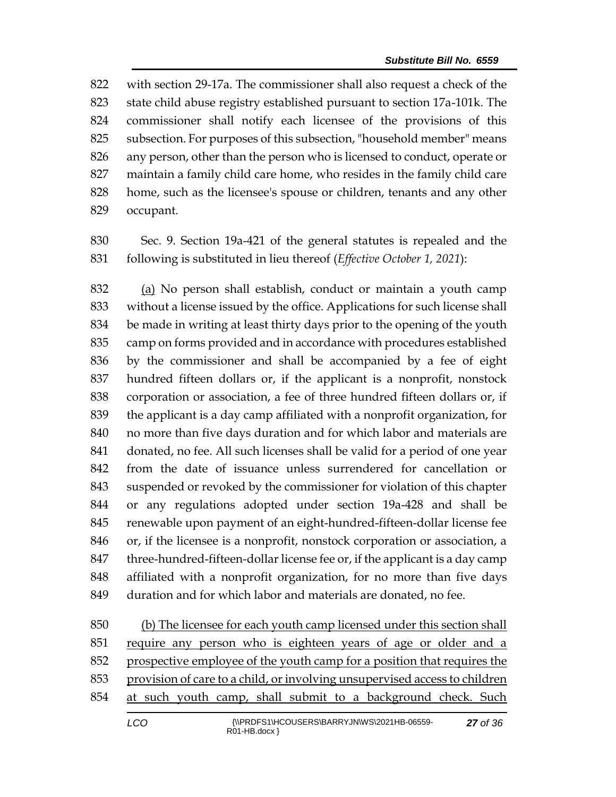with section 29-17a. The commissioner shall also request a check of the state child abuse registry established pursuant to section 17a-101k. The commissioner shall notify each licensee of the provisions of this subsection. For purposes of this subsection, "household member" means any person, other than the person who is licensed to conduct, operate or maintain a family child care home, who resides in the family child care home, such as the licensee's spouse or children, tenants and any other occupant.

 Sec. 9. Section 19a-421 of the general statutes is repealed and the following is substituted in lieu thereof (*Effective October 1, 2021*):

 (a) No person shall establish, conduct or maintain a youth camp without a license issued by the office. Applications for such license shall be made in writing at least thirty days prior to the opening of the youth camp on forms provided and in accordance with procedures established by the commissioner and shall be accompanied by a fee of eight hundred fifteen dollars or, if the applicant is a nonprofit, nonstock corporation or association, a fee of three hundred fifteen dollars or, if the applicant is a day camp affiliated with a nonprofit organization, for no more than five days duration and for which labor and materials are donated, no fee. All such licenses shall be valid for a period of one year from the date of issuance unless surrendered for cancellation or suspended or revoked by the commissioner for violation of this chapter or any regulations adopted under section 19a-428 and shall be renewable upon payment of an eight-hundred-fifteen-dollar license fee or, if the licensee is a nonprofit, nonstock corporation or association, a 847 three-hundred-fifteen-dollar license fee or, if the applicant is a day camp affiliated with a nonprofit organization, for no more than five days duration and for which labor and materials are donated, no fee.

 (b) The licensee for each youth camp licensed under this section shall require any person who is eighteen years of age or older and a 852 prospective employee of the youth camp for a position that requires the provision of care to a child, or involving unsupervised access to children at such youth camp, shall submit to a background check. Such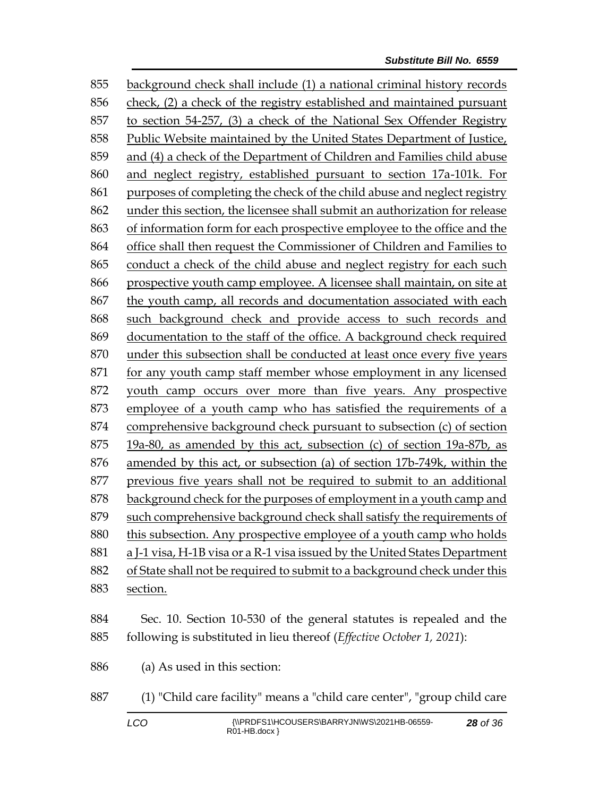background check shall include (1) a national criminal history records check, (2) a check of the registry established and maintained pursuant to section 54-257, (3) a check of the National Sex Offender Registry Public Website maintained by the United States Department of Justice, and (4) a check of the Department of Children and Families child abuse and neglect registry, established pursuant to section 17a-101k. For purposes of completing the check of the child abuse and neglect registry under this section, the licensee shall submit an authorization for release of information form for each prospective employee to the office and the office shall then request the Commissioner of Children and Families to conduct a check of the child abuse and neglect registry for each such prospective youth camp employee. A licensee shall maintain, on site at the youth camp, all records and documentation associated with each such background check and provide access to such records and documentation to the staff of the office. A background check required under this subsection shall be conducted at least once every five years for any youth camp staff member whose employment in any licensed youth camp occurs over more than five years. Any prospective employee of a youth camp who has satisfied the requirements of a comprehensive background check pursuant to subsection (c) of section 19a-80, as amended by this act, subsection (c) of section 19a-87b, as amended by this act, or subsection (a) of section 17b-749k, within the previous five years shall not be required to submit to an additional background check for the purposes of employment in a youth camp and such comprehensive background check shall satisfy the requirements of this subsection. Any prospective employee of a youth camp who holds a J-1 visa, H-1B visa or a R-1 visa issued by the United States Department of State shall not be required to submit to a background check under this section. Sec. 10. Section 10-530 of the general statutes is repealed and the following is substituted in lieu thereof (*Effective October 1, 2021*): (a) As used in this section:

(1) "Child care facility" means a "child care center", "group child care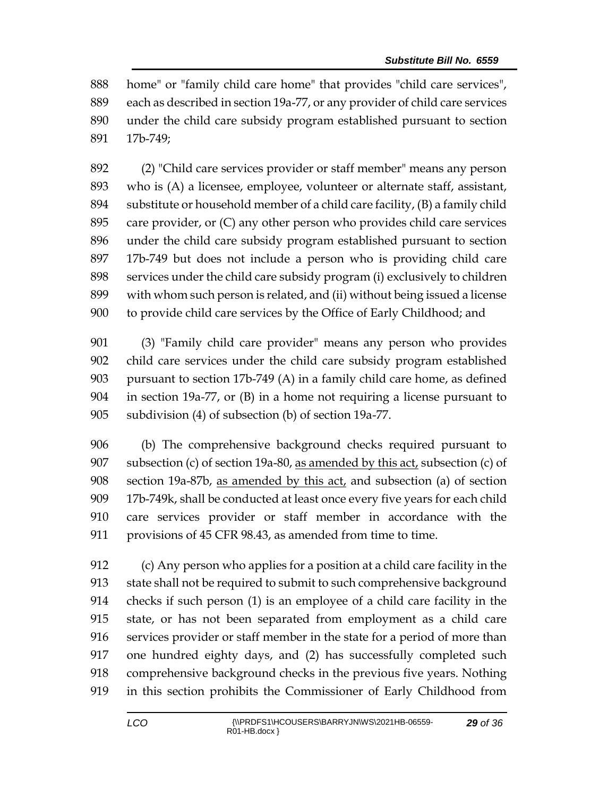home" or "family child care home" that provides "child care services", each as described in section 19a-77, or any provider of child care services under the child care subsidy program established pursuant to section 17b-749;

 (2) "Child care services provider or staff member" means any person who is (A) a licensee, employee, volunteer or alternate staff, assistant, substitute or household member of a child care facility, (B) a family child care provider, or (C) any other person who provides child care services under the child care subsidy program established pursuant to section 17b-749 but does not include a person who is providing child care services under the child care subsidy program (i) exclusively to children with whom such person is related, and (ii) without being issued a license to provide child care services by the Office of Early Childhood; and

 (3) "Family child care provider" means any person who provides child care services under the child care subsidy program established pursuant to section 17b-749 (A) in a family child care home, as defined in section 19a-77, or (B) in a home not requiring a license pursuant to subdivision (4) of subsection (b) of section 19a-77.

 (b) The comprehensive background checks required pursuant to 907 subsection (c) of section 19a-80, as amended by this  $act<sub>t</sub>$  subsection (c) of section 19a-87b, as amended by this act, and subsection (a) of section 17b-749k, shall be conducted at least once every five years for each child care services provider or staff member in accordance with the provisions of 45 CFR 98.43, as amended from time to time.

 (c) Any person who applies for a position at a child care facility in the state shall not be required to submit to such comprehensive background checks if such person (1) is an employee of a child care facility in the state, or has not been separated from employment as a child care services provider or staff member in the state for a period of more than one hundred eighty days, and (2) has successfully completed such comprehensive background checks in the previous five years. Nothing in this section prohibits the Commissioner of Early Childhood from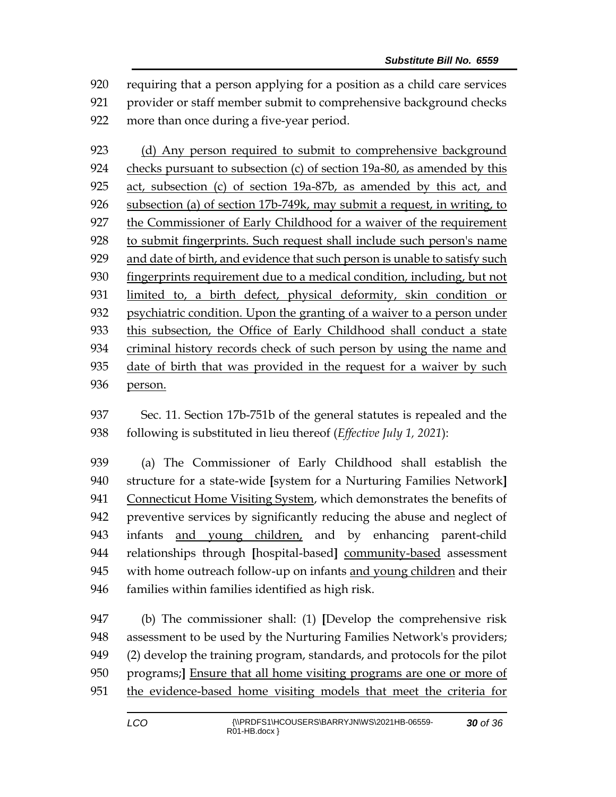requiring that a person applying for a position as a child care services provider or staff member submit to comprehensive background checks more than once during a five-year period.

923 (d) Any person required to submit to comprehensive background checks pursuant to subsection (c) of section 19a-80, as amended by this act, subsection (c) of section 19a-87b, as amended by this act, and subsection (a) of section 17b-749k, may submit a request, in writing, to the Commissioner of Early Childhood for a waiver of the requirement to submit fingerprints. Such request shall include such person's name and date of birth, and evidence that such person is unable to satisfy such fingerprints requirement due to a medical condition, including, but not limited to, a birth defect, physical deformity, skin condition or psychiatric condition. Upon the granting of a waiver to a person under this subsection, the Office of Early Childhood shall conduct a state criminal history records check of such person by using the name and date of birth that was provided in the request for a waiver by such person.

 Sec. 11. Section 17b-751b of the general statutes is repealed and the following is substituted in lieu thereof (*Effective July 1, 2021*):

 (a) The Commissioner of Early Childhood shall establish the structure for a state-wide **[**system for a Nurturing Families Network**]** Connecticut Home Visiting System, which demonstrates the benefits of preventive services by significantly reducing the abuse and neglect of infants and young children, and by enhancing parent-child relationships through **[**hospital-based**]** community-based assessment 945 with home outreach follow-up on infants and young children and their 946 families within families identified as high risk.

 (b) The commissioner shall: (1) **[**Develop the comprehensive risk assessment to be used by the Nurturing Families Network's providers; (2) develop the training program, standards, and protocols for the pilot programs;**]** Ensure that all home visiting programs are one or more of the evidence-based home visiting models that meet the criteria for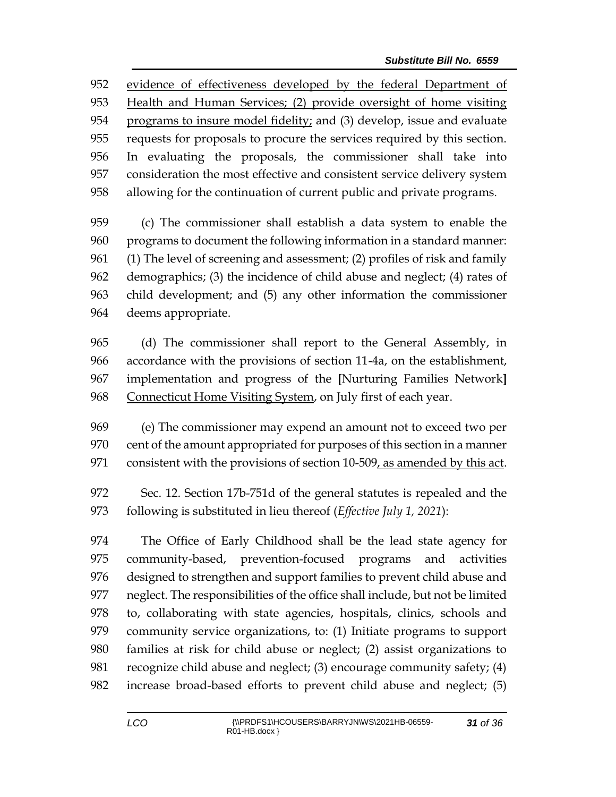evidence of effectiveness developed by the federal Department of Health and Human Services; (2) provide oversight of home visiting programs to insure model fidelity; and (3) develop, issue and evaluate requests for proposals to procure the services required by this section. In evaluating the proposals, the commissioner shall take into consideration the most effective and consistent service delivery system allowing for the continuation of current public and private programs.

 (c) The commissioner shall establish a data system to enable the programs to document the following information in a standard manner: (1) The level of screening and assessment; (2) profiles of risk and family demographics; (3) the incidence of child abuse and neglect; (4) rates of child development; and (5) any other information the commissioner deems appropriate.

 (d) The commissioner shall report to the General Assembly, in accordance with the provisions of section 11-4a, on the establishment, implementation and progress of the **[**Nurturing Families Network**]** Connecticut Home Visiting System, on July first of each year.

 (e) The commissioner may expend an amount not to exceed two per cent of the amount appropriated for purposes of this section in a manner 971 consistent with the provisions of section 10-509, as amended by this act.

 Sec. 12. Section 17b-751d of the general statutes is repealed and the following is substituted in lieu thereof (*Effective July 1, 2021*):

 The Office of Early Childhood shall be the lead state agency for community-based, prevention-focused programs and activities designed to strengthen and support families to prevent child abuse and neglect. The responsibilities of the office shall include, but not be limited to, collaborating with state agencies, hospitals, clinics, schools and community service organizations, to: (1) Initiate programs to support families at risk for child abuse or neglect; (2) assist organizations to recognize child abuse and neglect; (3) encourage community safety; (4) increase broad-based efforts to prevent child abuse and neglect; (5)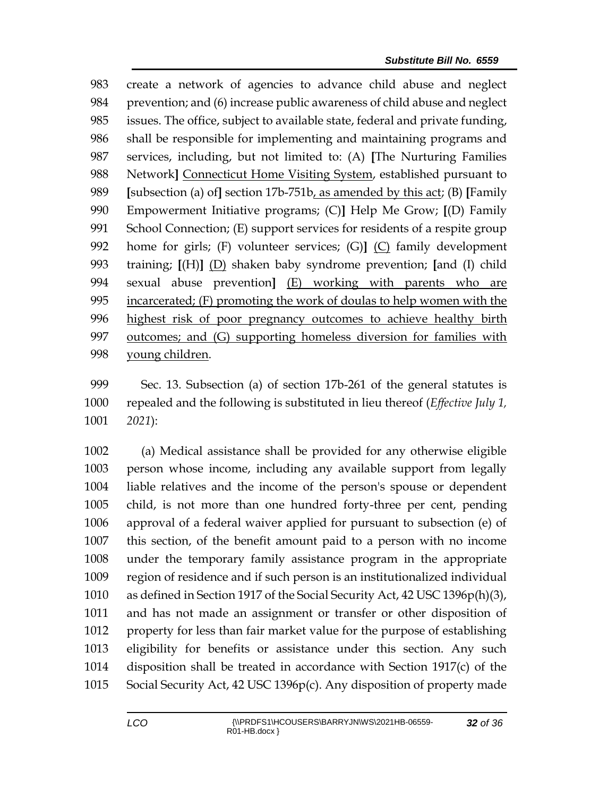create a network of agencies to advance child abuse and neglect prevention; and (6) increase public awareness of child abuse and neglect issues. The office, subject to available state, federal and private funding, shall be responsible for implementing and maintaining programs and services, including, but not limited to: (A) **[**The Nurturing Families 988 Network<sup>]</sup> Connecticut Home Visiting System, established pursuant to **[**subsection (a) of**]** section 17b-751b, as amended by this act; (B) **[**Family Empowerment Initiative programs; (C)**]** Help Me Grow; **[**(D) Family School Connection; (E) support services for residents of a respite group home for girls; (F) volunteer services; (G)**]** (C) family development training; **[**(H)**]** (D) shaken baby syndrome prevention; **[**and (I) child sexual abuse prevention**]** (E) working with parents who are incarcerated; (F) promoting the work of doulas to help women with the highest risk of poor pregnancy outcomes to achieve healthy birth outcomes; and (G) supporting homeless diversion for families with young children.

 Sec. 13. Subsection (a) of section 17b-261 of the general statutes is repealed and the following is substituted in lieu thereof (*Effective July 1, 2021*):

 (a) Medical assistance shall be provided for any otherwise eligible person whose income, including any available support from legally liable relatives and the income of the person's spouse or dependent child, is not more than one hundred forty-three per cent, pending approval of a federal waiver applied for pursuant to subsection (e) of this section, of the benefit amount paid to a person with no income under the temporary family assistance program in the appropriate region of residence and if such person is an institutionalized individual as defined in Section 1917 of the Social Security Act, 42 USC 1396p(h)(3), and has not made an assignment or transfer or other disposition of property for less than fair market value for the purpose of establishing eligibility for benefits or assistance under this section. Any such disposition shall be treated in accordance with Section 1917(c) of the Social Security Act, 42 USC 1396p(c). Any disposition of property made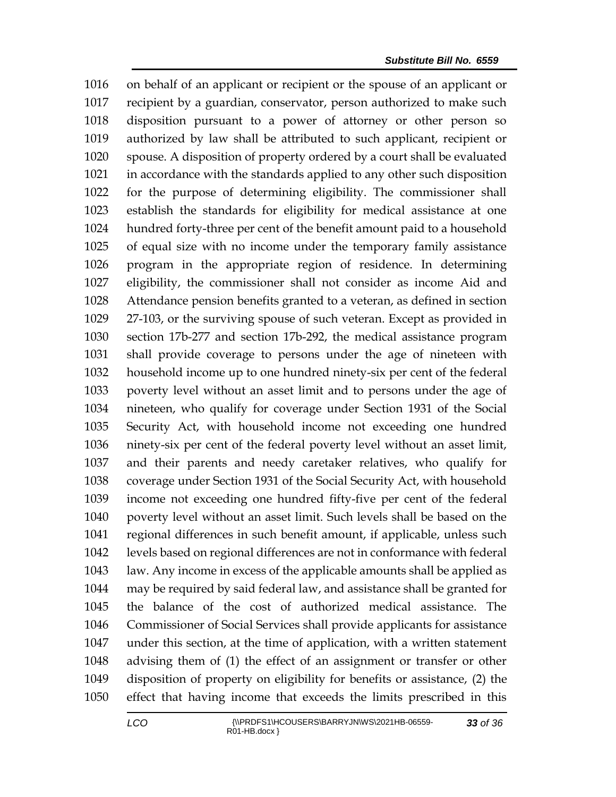on behalf of an applicant or recipient or the spouse of an applicant or recipient by a guardian, conservator, person authorized to make such disposition pursuant to a power of attorney or other person so authorized by law shall be attributed to such applicant, recipient or spouse. A disposition of property ordered by a court shall be evaluated in accordance with the standards applied to any other such disposition for the purpose of determining eligibility. The commissioner shall establish the standards for eligibility for medical assistance at one hundred forty-three per cent of the benefit amount paid to a household of equal size with no income under the temporary family assistance program in the appropriate region of residence. In determining eligibility, the commissioner shall not consider as income Aid and Attendance pension benefits granted to a veteran, as defined in section 27-103, or the surviving spouse of such veteran. Except as provided in section 17b-277 and section 17b-292, the medical assistance program shall provide coverage to persons under the age of nineteen with household income up to one hundred ninety-six per cent of the federal poverty level without an asset limit and to persons under the age of nineteen, who qualify for coverage under Section 1931 of the Social Security Act, with household income not exceeding one hundred ninety-six per cent of the federal poverty level without an asset limit, and their parents and needy caretaker relatives, who qualify for coverage under Section 1931 of the Social Security Act, with household income not exceeding one hundred fifty-five per cent of the federal poverty level without an asset limit. Such levels shall be based on the regional differences in such benefit amount, if applicable, unless such levels based on regional differences are not in conformance with federal law. Any income in excess of the applicable amounts shall be applied as may be required by said federal law, and assistance shall be granted for the balance of the cost of authorized medical assistance. The Commissioner of Social Services shall provide applicants for assistance under this section, at the time of application, with a written statement advising them of (1) the effect of an assignment or transfer or other disposition of property on eligibility for benefits or assistance, (2) the effect that having income that exceeds the limits prescribed in this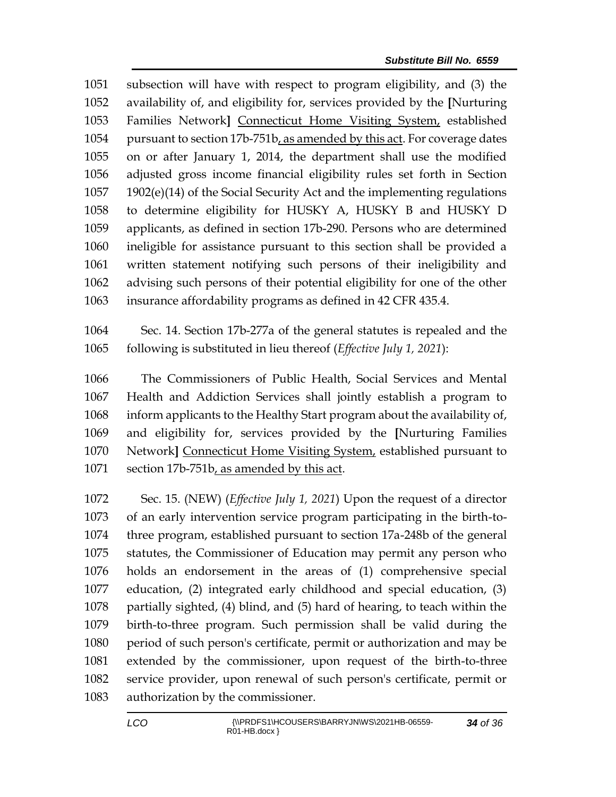subsection will have with respect to program eligibility, and (3) the availability of, and eligibility for, services provided by the **[**Nurturing Families Network**]** Connecticut Home Visiting System, established pursuant to section 17b-751b, as amended by this act. For coverage dates on or after January 1, 2014, the department shall use the modified adjusted gross income financial eligibility rules set forth in Section 1902(e)(14) of the Social Security Act and the implementing regulations to determine eligibility for HUSKY A, HUSKY B and HUSKY D applicants, as defined in section 17b-290. Persons who are determined ineligible for assistance pursuant to this section shall be provided a written statement notifying such persons of their ineligibility and advising such persons of their potential eligibility for one of the other insurance affordability programs as defined in 42 CFR 435.4.

 Sec. 14. Section 17b-277a of the general statutes is repealed and the following is substituted in lieu thereof (*Effective July 1, 2021*):

 The Commissioners of Public Health, Social Services and Mental Health and Addiction Services shall jointly establish a program to inform applicants to the Healthy Start program about the availability of, and eligibility for, services provided by the **[**Nurturing Families Network**]** Connecticut Home Visiting System, established pursuant to 1071 section 17b-751b, as amended by this act.

 Sec. 15. (NEW) (*Effective July 1, 2021*) Upon the request of a director of an early intervention service program participating in the birth-to- three program, established pursuant to section 17a-248b of the general statutes, the Commissioner of Education may permit any person who holds an endorsement in the areas of (1) comprehensive special education, (2) integrated early childhood and special education, (3) partially sighted, (4) blind, and (5) hard of hearing, to teach within the birth-to-three program. Such permission shall be valid during the period of such person's certificate, permit or authorization and may be extended by the commissioner, upon request of the birth-to-three service provider, upon renewal of such person's certificate, permit or authorization by the commissioner.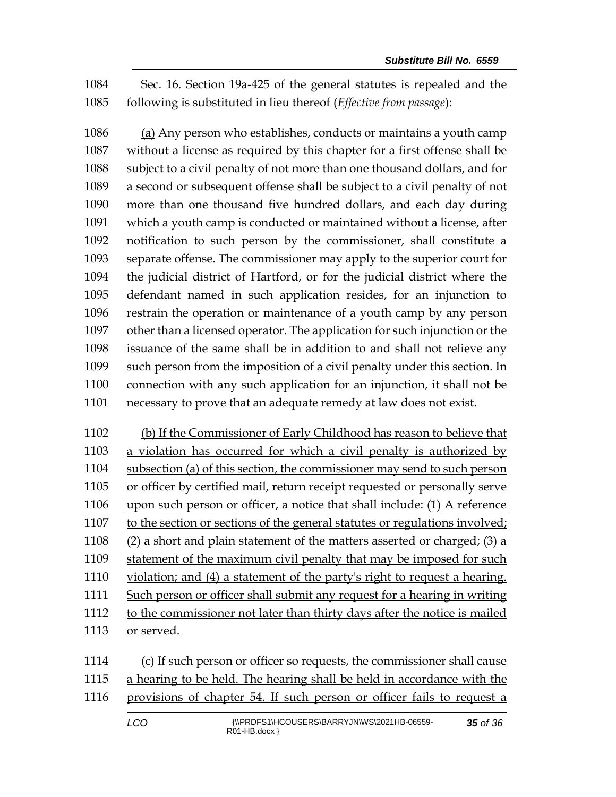Sec. 16. Section 19a-425 of the general statutes is repealed and the following is substituted in lieu thereof (*Effective from passage*):

 (a) Any person who establishes, conducts or maintains a youth camp without a license as required by this chapter for a first offense shall be subject to a civil penalty of not more than one thousand dollars, and for a second or subsequent offense shall be subject to a civil penalty of not more than one thousand five hundred dollars, and each day during which a youth camp is conducted or maintained without a license, after notification to such person by the commissioner, shall constitute a separate offense. The commissioner may apply to the superior court for the judicial district of Hartford, or for the judicial district where the defendant named in such application resides, for an injunction to restrain the operation or maintenance of a youth camp by any person other than a licensed operator. The application for such injunction or the issuance of the same shall be in addition to and shall not relieve any such person from the imposition of a civil penalty under this section. In connection with any such application for an injunction, it shall not be necessary to prove that an adequate remedy at law does not exist.

 (b) If the Commissioner of Early Childhood has reason to believe that a violation has occurred for which a civil penalty is authorized by subsection (a) of this section, the commissioner may send to such person or officer by certified mail, return receipt requested or personally serve upon such person or officer, a notice that shall include: (1) A reference to the section or sections of the general statutes or regulations involved; (2) a short and plain statement of the matters asserted or charged; (3) a statement of the maximum civil penalty that may be imposed for such violation; and (4) a statement of the party's right to request a hearing. Such person or officer shall submit any request for a hearing in writing to the commissioner not later than thirty days after the notice is mailed or served.

 (c) If such person or officer so requests, the commissioner shall cause a hearing to be held. The hearing shall be held in accordance with the provisions of chapter 54. If such person or officer fails to request a